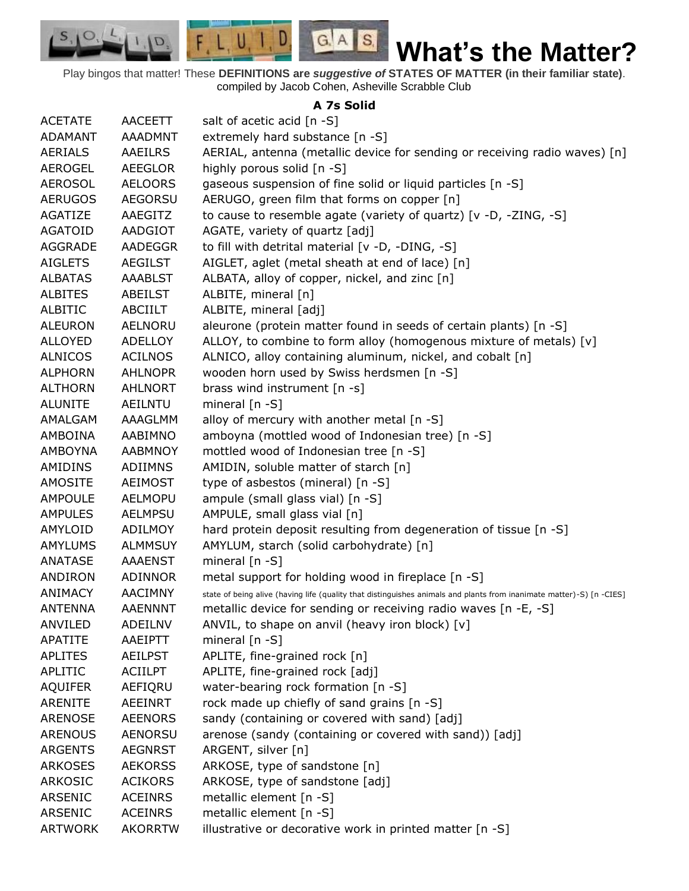Play bingos that matter! These **DEFINITIONS are** *suggestive of* **STATES OF MATTER (in their familiar state)**. compiled by Jacob Cohen, Asheville Scrabble Club

 $G.A.S.$ 

 $F, L, U, I, D$ 

D.

 $S_{1}$  $\circ$ 

## **A 7s Solid**

| <b>ACETATE</b> | <b>AACEETT</b> | salt of acetic acid $[n -S]$                                                                                         |
|----------------|----------------|----------------------------------------------------------------------------------------------------------------------|
| <b>ADAMANT</b> | <b>AAADMNT</b> | extremely hard substance [n -S]                                                                                      |
| AERIALS        | AAEILRS        | AERIAL, antenna (metallic device for sending or receiving radio waves) [n]                                           |
| <b>AEROGEL</b> | <b>AEEGLOR</b> | highly porous solid [n -S]                                                                                           |
| <b>AEROSOL</b> | <b>AELOORS</b> | gaseous suspension of fine solid or liquid particles [n -S]                                                          |
| <b>AERUGOS</b> | <b>AEGORSU</b> | AERUGO, green film that forms on copper [n]                                                                          |
| AGATIZE        | AAEGITZ        | to cause to resemble agate (variety of quartz) [v -D, -ZING, -S]                                                     |
| <b>AGATOID</b> | AADGIOT        | AGATE, variety of quartz [adj]                                                                                       |
| AGGRADE        | AADEGGR        | to fill with detrital material [v -D, -DING, -S]                                                                     |
| <b>AIGLETS</b> | <b>AEGILST</b> | AIGLET, aglet (metal sheath at end of lace) [n]                                                                      |
| <b>ALBATAS</b> | <b>AAABLST</b> | ALBATA, alloy of copper, nickel, and zinc [n]                                                                        |
| <b>ALBITES</b> | ABEILST        | ALBITE, mineral [n]                                                                                                  |
| <b>ALBITIC</b> | ABCIILT        | ALBITE, mineral [adj]                                                                                                |
| <b>ALEURON</b> | AELNORU        | aleurone (protein matter found in seeds of certain plants) [n -S]                                                    |
| <b>ALLOYED</b> | <b>ADELLOY</b> | ALLOY, to combine to form alloy (homogenous mixture of metals) [v]                                                   |
| <b>ALNICOS</b> | <b>ACILNOS</b> | ALNICO, alloy containing aluminum, nickel, and cobalt [n]                                                            |
| <b>ALPHORN</b> | <b>AHLNOPR</b> | wooden horn used by Swiss herdsmen [n -S]                                                                            |
| <b>ALTHORN</b> | <b>AHLNORT</b> | brass wind instrument $[n -s]$                                                                                       |
| <b>ALUNITE</b> | <b>AEILNTU</b> | mineral $[n - S]$                                                                                                    |
| AMALGAM        | AAAGLMM        | alloy of mercury with another metal [n -S]                                                                           |
| AMBOINA        | AABIMNO        | amboyna (mottled wood of Indonesian tree) [n -S]                                                                     |
| <b>AMBOYNA</b> | <b>AABMNOY</b> | mottled wood of Indonesian tree [n -S]                                                                               |
| AMIDINS        | <b>ADIIMNS</b> | AMIDIN, soluble matter of starch [n]                                                                                 |
| <b>AMOSITE</b> | <b>AEIMOST</b> | type of asbestos (mineral) [n -S]                                                                                    |
| <b>AMPOULE</b> | <b>AELMOPU</b> | ampule (small glass vial) [n -S]                                                                                     |
| <b>AMPULES</b> | <b>AELMPSU</b> | AMPULE, small glass vial [n]                                                                                         |
| AMYLOID        | ADILMOY        | hard protein deposit resulting from degeneration of tissue [n -S]                                                    |
| <b>AMYLUMS</b> | <b>ALMMSUY</b> | AMYLUM, starch (solid carbohydrate) [n]                                                                              |
| <b>ANATASE</b> | <b>AAAENST</b> | mineral [n -S]                                                                                                       |
| ANDIRON        | <b>ADINNOR</b> | metal support for holding wood in fireplace [n -S]                                                                   |
| ANIMACY        | <b>AACIMNY</b> | state of being alive (having life (quality that distinguishes animals and plants from inanimate matter)-S) [n -CIES] |
| <b>ANTENNA</b> | <b>AAENNNT</b> | metallic device for sending or receiving radio waves [n -E, -S]                                                      |
| ANVILED        | <b>ADEILNV</b> | ANVIL, to shape on anvil (heavy iron block) [v]                                                                      |
| <b>APATITE</b> | AAEIPTT        | mineral $[n - S]$                                                                                                    |
| <b>APLITES</b> | <b>AEILPST</b> | APLITE, fine-grained rock [n]                                                                                        |
| APLITIC        | ACIILPT        | APLITE, fine-grained rock [adj]                                                                                      |
| <b>AQUIFER</b> | AEFIQRU        | water-bearing rock formation [n -S]                                                                                  |
| <b>ARENITE</b> | AEEINRT        | rock made up chiefly of sand grains [n -S]                                                                           |
| <b>ARENOSE</b> | <b>AEENORS</b> | sandy (containing or covered with sand) [adj]                                                                        |
| <b>ARENOUS</b> | <b>AENORSU</b> | arenose (sandy (containing or covered with sand)) [adj]                                                              |
| <b>ARGENTS</b> | <b>AEGNRST</b> | ARGENT, silver [n]                                                                                                   |
| <b>ARKOSES</b> | <b>AEKORSS</b> | ARKOSE, type of sandstone [n]                                                                                        |
| <b>ARKOSIC</b> | <b>ACIKORS</b> | ARKOSE, type of sandstone [adj]                                                                                      |
| <b>ARSENIC</b> | <b>ACEINRS</b> | metallic element [n -S]                                                                                              |
| ARSENIC        | <b>ACEINRS</b> | metallic element [n -S]                                                                                              |
| <b>ARTWORK</b> | <b>AKORRTW</b> | illustrative or decorative work in printed matter [n -S]                                                             |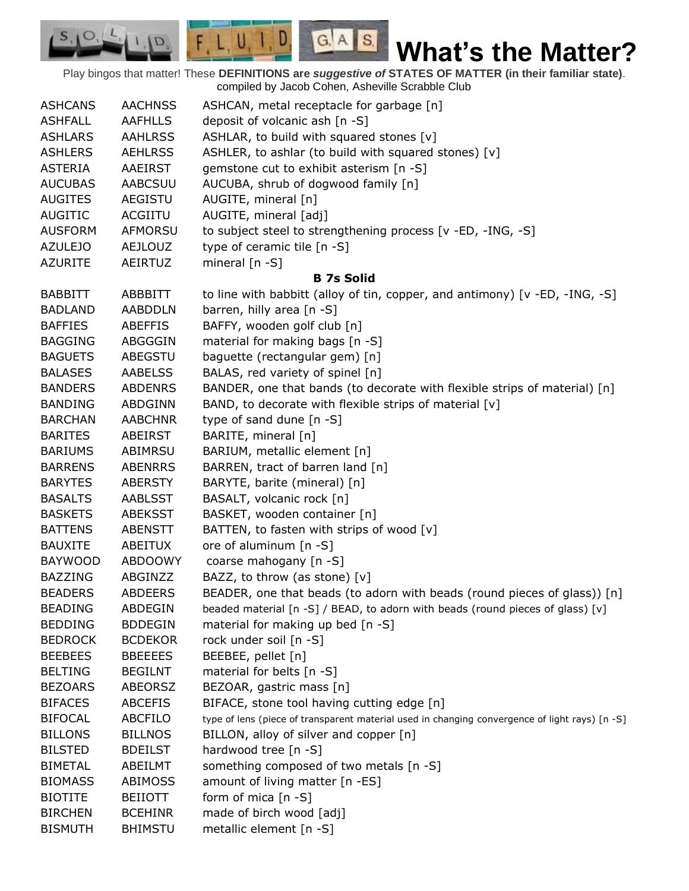Play bingos that matter! These **DEFINITIONS are** *suggestive of* **STATES OF MATTER (in their familiar state)**. compiled by Jacob Cohen, Asheville Scrabble Club

 $G.A.S.$ 

 $F, L, U, I, D$ 

D.

| <b>ASHCANS</b> | <b>AACHNSS</b> | ASHCAN, metal receptacle for garbage [n]                                                       |
|----------------|----------------|------------------------------------------------------------------------------------------------|
| <b>ASHFALL</b> | <b>AAFHLLS</b> | deposit of volcanic ash [n -S]                                                                 |
| <b>ASHLARS</b> | <b>AAHLRSS</b> | ASHLAR, to build with squared stones [v]                                                       |
| <b>ASHLERS</b> | <b>AEHLRSS</b> | ASHLER, to ashlar (to build with squared stones) [v]                                           |
| <b>ASTERIA</b> | <b>AAEIRST</b> | gemstone cut to exhibit asterism [n -S]                                                        |
| <b>AUCUBAS</b> | <b>AABCSUU</b> | AUCUBA, shrub of dogwood family [n]                                                            |
| <b>AUGITES</b> | <b>AEGISTU</b> | AUGITE, mineral [n]                                                                            |
| AUGITIC        | ACGIITU        | AUGITE, mineral [adj]                                                                          |
| <b>AUSFORM</b> | <b>AFMORSU</b> | to subject steel to strengthening process [v -ED, -ING, -S]                                    |
| <b>AZULEJO</b> | <b>AEJLOUZ</b> | type of ceramic tile [n -S]                                                                    |
| <b>AZURITE</b> | AEIRTUZ        | mineral $[n - S]$                                                                              |
|                |                | <b>B</b> 7s Solid                                                                              |
| <b>BABBITT</b> | ABBBITT        | to line with babbitt (alloy of tin, copper, and antimony) $[v - ED, -ING, -S]$                 |
| <b>BADLAND</b> | <b>AABDDLN</b> | barren, hilly area [n -S]                                                                      |
| <b>BAFFIES</b> | <b>ABEFFIS</b> | BAFFY, wooden golf club [n]                                                                    |
| <b>BAGGING</b> | ABGGGIN        | material for making bags [n -S]                                                                |
| <b>BAGUETS</b> | <b>ABEGSTU</b> | baguette (rectangular gem) [n]                                                                 |
| <b>BALASES</b> | <b>AABELSS</b> | BALAS, red variety of spinel [n]                                                               |
| <b>BANDERS</b> | <b>ABDENRS</b> | BANDER, one that bands (to decorate with flexible strips of material) [n]                      |
| <b>BANDING</b> | ABDGINN        | BAND, to decorate with flexible strips of material [v]                                         |
| <b>BARCHAN</b> | <b>AABCHNR</b> | type of sand dune [n -S]                                                                       |
| <b>BARITES</b> | ABEIRST        | BARITE, mineral [n]                                                                            |
| <b>BARIUMS</b> | ABIMRSU        | BARIUM, metallic element [n]                                                                   |
| <b>BARRENS</b> | <b>ABENRRS</b> | BARREN, tract of barren land [n]                                                               |
| <b>BARYTES</b> | <b>ABERSTY</b> | BARYTE, barite (mineral) [n]                                                                   |
| <b>BASALTS</b> | <b>AABLSST</b> | BASALT, volcanic rock [n]                                                                      |
| <b>BASKETS</b> | <b>ABEKSST</b> | BASKET, wooden container [n]                                                                   |
| <b>BATTENS</b> | <b>ABENSTT</b> | BATTEN, to fasten with strips of wood [v]                                                      |
| <b>BAUXITE</b> | ABEITUX        | ore of aluminum [n -S]                                                                         |
| <b>BAYWOOD</b> | ABDOOWY        | coarse mahogany [n -S]                                                                         |
| <b>BAZZING</b> | ABGINZZ        | BAZZ, to throw (as stone) [v]                                                                  |
| <b>BEADERS</b> | <b>ABDEERS</b> | BEADER, one that beads (to adorn with beads (round pieces of glass)) [n]                       |
| <b>BEADING</b> | <b>ABDEGIN</b> | beaded material $[n -S]$ / BEAD, to adorn with beads (round pieces of glass) $[v]$             |
| <b>BEDDING</b> | <b>BDDEGIN</b> | material for making up bed [n -S]                                                              |
| <b>BEDROCK</b> | <b>BCDEKOR</b> | rock under soil [n -S]                                                                         |
| <b>BEEBEES</b> | <b>BBEEEES</b> | BEEBEE, pellet [n]                                                                             |
| <b>BELTING</b> | <b>BEGILNT</b> | material for belts [n -S]                                                                      |
| <b>BEZOARS</b> | <b>ABEORSZ</b> | BEZOAR, gastric mass [n]                                                                       |
| <b>BIFACES</b> | <b>ABCEFIS</b> | BIFACE, stone tool having cutting edge [n]                                                     |
| <b>BIFOCAL</b> | <b>ABCFILO</b> | type of lens (piece of transparent material used in changing convergence of light rays) [n -S] |
| <b>BILLONS</b> | <b>BILLNOS</b> | BILLON, alloy of silver and copper [n]                                                         |
| <b>BILSTED</b> | <b>BDEILST</b> | hardwood tree [n -S]                                                                           |
| <b>BIMETAL</b> | ABEILMT        | something composed of two metals [n -S]                                                        |
| <b>BIOMASS</b> | <b>ABIMOSS</b> | amount of living matter [n -ES]                                                                |
| <b>BIOTITE</b> | <b>BEIIOTT</b> | form of mica $[n - S]$                                                                         |
| <b>BIRCHEN</b> | <b>BCEHINR</b> | made of birch wood [adj]                                                                       |
| <b>BISMUTH</b> | <b>BHIMSTU</b> | metallic element [n -S]                                                                        |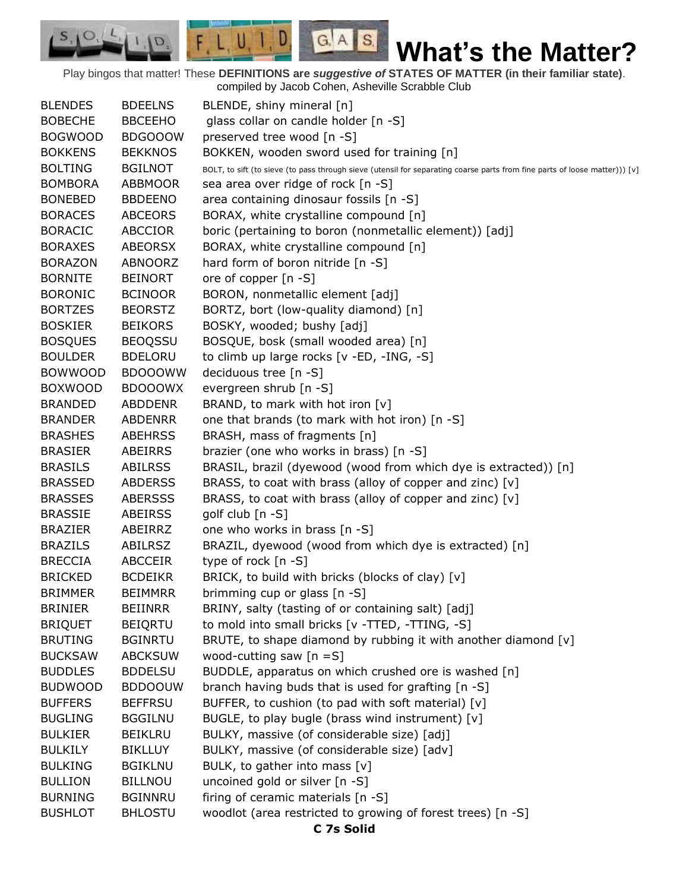Play bingos that matter! These **DEFINITIONS are** *suggestive of* **STATES OF MATTER (in their familiar state)**. compiled by Jacob Cohen, Asheville Scrabble Club

 $G.A.S.$ 

 $\Box$ 

 $F, L, U, I$ 

D.

| <b>BLENDES</b> | <b>BDEELNS</b> | BLENDE, shiny mineral [n]                                                                                                  |
|----------------|----------------|----------------------------------------------------------------------------------------------------------------------------|
| <b>BOBECHE</b> | <b>BBCEEHO</b> | glass collar on candle holder [n -S]                                                                                       |
| <b>BOGWOOD</b> | <b>BDGOOOW</b> | preserved tree wood [n -S]                                                                                                 |
| <b>BOKKENS</b> | <b>BEKKNOS</b> | BOKKEN, wooden sword used for training [n]                                                                                 |
| <b>BOLTING</b> | <b>BGILNOT</b> | BOLT, to sift (to sieve (to pass through sieve (utensil for separating coarse parts from fine parts of loose matter))) [v] |
| <b>BOMBORA</b> | <b>ABBMOOR</b> | sea area over ridge of rock [n -S]                                                                                         |
| <b>BONEBED</b> | <b>BBDEENO</b> | area containing dinosaur fossils [n -S]                                                                                    |
| <b>BORACES</b> | <b>ABCEORS</b> | BORAX, white crystalline compound [n]                                                                                      |
| <b>BORACIC</b> | <b>ABCCIOR</b> | boric (pertaining to boron (nonmetallic element)) [adj]                                                                    |
| <b>BORAXES</b> | ABEORSX        | BORAX, white crystalline compound [n]                                                                                      |
| <b>BORAZON</b> | ABNOORZ        | hard form of boron nitride [n -S]                                                                                          |
| <b>BORNITE</b> | <b>BEINORT</b> | ore of copper [n -S]                                                                                                       |
| <b>BORONIC</b> | <b>BCINOOR</b> | BORON, nonmetallic element [adj]                                                                                           |
| <b>BORTZES</b> | <b>BEORSTZ</b> | BORTZ, bort (low-quality diamond) [n]                                                                                      |
| <b>BOSKIER</b> | <b>BEIKORS</b> | BOSKY, wooded; bushy [adj]                                                                                                 |
| <b>BOSQUES</b> | <b>BEOQSSU</b> | BOSQUE, bosk (small wooded area) [n]                                                                                       |
| <b>BOULDER</b> | <b>BDELORU</b> | to climb up large rocks [v -ED, -ING, -S]                                                                                  |
| <b>BOWWOOD</b> | <b>BDOOOWW</b> | deciduous tree [n -S]                                                                                                      |
| <b>BOXWOOD</b> | <b>BDOOOWX</b> | evergreen shrub [n -S]                                                                                                     |
| <b>BRANDED</b> | <b>ABDDENR</b> | BRAND, to mark with hot iron [v]                                                                                           |
| <b>BRANDER</b> | <b>ABDENRR</b> | one that brands (to mark with hot iron) [n -S]                                                                             |
| <b>BRASHES</b> | <b>ABEHRSS</b> | BRASH, mass of fragments [n]                                                                                               |
| <b>BRASIER</b> | ABEIRRS        | brazier (one who works in brass) [n -S]                                                                                    |
| <b>BRASILS</b> | <b>ABILRSS</b> | BRASIL, brazil (dyewood (wood from which dye is extracted)) [n]                                                            |
| <b>BRASSED</b> | <b>ABDERSS</b> | BRASS, to coat with brass (alloy of copper and zinc) [v]                                                                   |
| <b>BRASSES</b> | <b>ABERSSS</b> | BRASS, to coat with brass (alloy of copper and zinc) [v]                                                                   |
| <b>BRASSIE</b> | <b>ABEIRSS</b> | golf club [n -S]                                                                                                           |
| <b>BRAZIER</b> | ABEIRRZ        | one who works in brass [n -S]                                                                                              |
| <b>BRAZILS</b> | ABILRSZ        | BRAZIL, dyewood (wood from which dye is extracted) [n]                                                                     |
| <b>BRECCIA</b> | <b>ABCCEIR</b> | type of rock [n -S]                                                                                                        |
| <b>BRICKED</b> | <b>BCDEIKR</b> | BRICK, to build with bricks (blocks of clay) [v]                                                                           |
| <b>BRIMMER</b> | <b>BEIMMRR</b> | brimming cup or glass [n -S]                                                                                               |
| <b>BRINIER</b> | <b>BEIINRR</b> | BRINY, salty (tasting of or containing salt) [adj]                                                                         |
| <b>BRIQUET</b> | <b>BEIQRTU</b> | to mold into small bricks [v -TTED, -TTING, -S]                                                                            |
| <b>BRUTING</b> | <b>BGINRTU</b> | BRUTE, to shape diamond by rubbing it with another diamond [v]                                                             |
| <b>BUCKSAW</b> | <b>ABCKSUW</b> | wood-cutting saw $[n = S]$                                                                                                 |
| <b>BUDDLES</b> | <b>BDDELSU</b> | BUDDLE, apparatus on which crushed ore is washed [n]                                                                       |
| <b>BUDWOOD</b> | <b>BDDOOUW</b> | branch having buds that is used for grafting [n -S]                                                                        |
| <b>BUFFERS</b> | <b>BEFFRSU</b> | BUFFER, to cushion (to pad with soft material) [v]                                                                         |
| <b>BUGLING</b> | <b>BGGILNU</b> | BUGLE, to play bugle (brass wind instrument) [v]                                                                           |
| <b>BULKIER</b> | <b>BEIKLRU</b> | BULKY, massive (of considerable size) [adj]                                                                                |
| <b>BULKILY</b> | <b>BIKLLUY</b> | BULKY, massive (of considerable size) [adv]                                                                                |
| <b>BULKING</b> | <b>BGIKLNU</b> | BULK, to gather into mass [v]                                                                                              |
| <b>BULLION</b> | <b>BILLNOU</b> | uncoined gold or silver [n -S]                                                                                             |
| <b>BURNING</b> | <b>BGINNRU</b> | firing of ceramic materials [n -S]                                                                                         |
| <b>BUSHLOT</b> | <b>BHLOSTU</b> | woodlot (area restricted to growing of forest trees) [n -S]                                                                |
|                |                | C 7s Solid                                                                                                                 |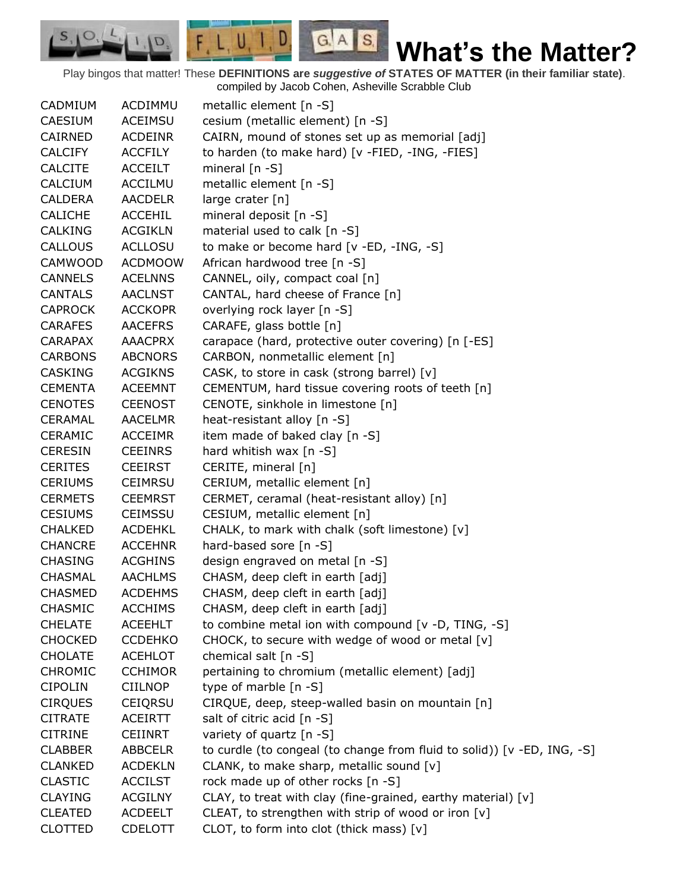Play bingos that matter! These **DEFINITIONS are** *suggestive of* **STATES OF MATTER (in their familiar state)**. compiled by Jacob Cohen, Asheville Scrabble Club

 $G.A.S.$ 

 $F, L, U, I, D$ 

D.

 $S, \mathbf{I}$ <sup>O</sup>

| CADMIUM        | ACDIMMU        | metallic element $[n -S]$                                               |
|----------------|----------------|-------------------------------------------------------------------------|
| <b>CAESIUM</b> | ACEIMSU        | cesium (metallic element) [n -S]                                        |
| CAIRNED        | <b>ACDEINR</b> | CAIRN, mound of stones set up as memorial [adj]                         |
| <b>CALCIFY</b> | <b>ACCFILY</b> | to harden (to make hard) [v -FIED, -ING, -FIES]                         |
| <b>CALCITE</b> | <b>ACCEILT</b> | mineral $[n - S]$                                                       |
| CALCIUM        | <b>ACCILMU</b> | metallic element [n -S]                                                 |
| <b>CALDERA</b> | <b>AACDELR</b> | large crater [n]                                                        |
| <b>CALICHE</b> | <b>ACCEHIL</b> | mineral deposit [n -S]                                                  |
| <b>CALKING</b> | <b>ACGIKLN</b> | material used to calk [n -S]                                            |
| CALLOUS        | <b>ACLLOSU</b> | to make or become hard [v -ED, -ING, -S]                                |
| <b>CAMWOOD</b> | <b>ACDMOOW</b> | African hardwood tree [n -S]                                            |
| <b>CANNELS</b> | <b>ACELNNS</b> | CANNEL, oily, compact coal [n]                                          |
| <b>CANTALS</b> | <b>AACLNST</b> | CANTAL, hard cheese of France [n]                                       |
| <b>CAPROCK</b> | <b>ACCKOPR</b> | overlying rock layer [n -S]                                             |
| <b>CARAFES</b> | <b>AACEFRS</b> | CARAFE, glass bottle [n]                                                |
| <b>CARAPAX</b> | <b>AAACPRX</b> | carapace (hard, protective outer covering) [n [-ES]                     |
| <b>CARBONS</b> | <b>ABCNORS</b> | CARBON, nonmetallic element [n]                                         |
| <b>CASKING</b> | <b>ACGIKNS</b> | CASK, to store in cask (strong barrel) [v]                              |
| <b>CEMENTA</b> | <b>ACEEMNT</b> | CEMENTUM, hard tissue covering roots of teeth [n]                       |
| <b>CENOTES</b> | <b>CEENOST</b> | CENOTE, sinkhole in limestone [n]                                       |
| <b>CERAMAL</b> | <b>AACELMR</b> | heat-resistant alloy [n -S]                                             |
| <b>CERAMIC</b> | <b>ACCEIMR</b> | item made of baked clay [n -S]                                          |
| <b>CERESIN</b> | <b>CEEINRS</b> | hard whitish wax [n -S]                                                 |
| <b>CERITES</b> | <b>CEEIRST</b> | CERITE, mineral [n]                                                     |
| <b>CERIUMS</b> | <b>CEIMRSU</b> | CERIUM, metallic element [n]                                            |
| <b>CERMETS</b> | <b>CEEMRST</b> | CERMET, ceramal (heat-resistant alloy) [n]                              |
| <b>CESIUMS</b> | <b>CEIMSSU</b> | CESIUM, metallic element [n]                                            |
| <b>CHALKED</b> | <b>ACDEHKL</b> | CHALK, to mark with chalk (soft limestone) [v]                          |
| <b>CHANCRE</b> | <b>ACCEHNR</b> | hard-based sore [n -S]                                                  |
| <b>CHASING</b> | <b>ACGHINS</b> | design engraved on metal [n -S]                                         |
| <b>CHASMAL</b> | <b>AACHLMS</b> | CHASM, deep cleft in earth [adj]                                        |
| <b>CHASMED</b> | <b>ACDEHMS</b> | CHASM, deep cleft in earth [adj]                                        |
| CHASMIC        | <b>ACCHIMS</b> | CHASM, deep cleft in earth [adj]                                        |
| <b>CHELATE</b> | <b>ACEEHLT</b> | to combine metal ion with compound [v -D, TING, -S]                     |
| <b>CHOCKED</b> | <b>CCDEHKO</b> | CHOCK, to secure with wedge of wood or metal [v]                        |
| <b>CHOLATE</b> | <b>ACEHLOT</b> | chemical salt $[n -S]$                                                  |
| <b>CHROMIC</b> | <b>CCHIMOR</b> | pertaining to chromium (metallic element) [adj]                         |
| <b>CIPOLIN</b> | <b>CIILNOP</b> | type of marble [n -S]                                                   |
| <b>CIRQUES</b> | <b>CEIQRSU</b> | CIRQUE, deep, steep-walled basin on mountain [n]                        |
| <b>CITRATE</b> | <b>ACEIRTT</b> | salt of citric acid [n -S]                                              |
| <b>CITRINE</b> | <b>CEIINRT</b> | variety of quartz [n -S]                                                |
| <b>CLABBER</b> | <b>ABBCELR</b> | to curdle (to congeal (to change from fluid to solid)) [v -ED, ING, -S] |
| <b>CLANKED</b> | <b>ACDEKLN</b> | CLANK, to make sharp, metallic sound [v]                                |
| <b>CLASTIC</b> | <b>ACCILST</b> | rock made up of other rocks [n -S]                                      |
| <b>CLAYING</b> | <b>ACGILNY</b> | CLAY, to treat with clay (fine-grained, earthy material) [v]            |
| <b>CLEATED</b> | <b>ACDEELT</b> | CLEAT, to strengthen with strip of wood or iron [v]                     |
| <b>CLOTTED</b> | <b>CDELOTT</b> | CLOT, to form into clot (thick mass) [v]                                |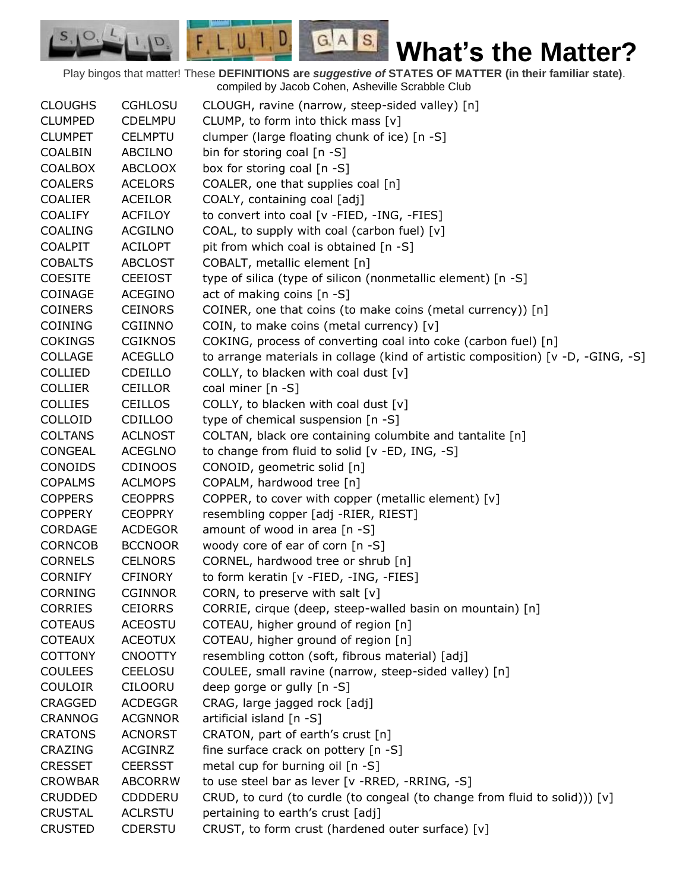Play bingos that matter! These **DEFINITIONS are** *suggestive of* **STATES OF MATTER (in their familiar state)**. compiled by Jacob Cohen, Asheville Scrabble Club

 $G.A.S.$ 

 $F, L, U, I, D$ 

D.

 $S, \mathbf{O}$ 

| <b>CLOUGHS</b> | <b>CGHLOSU</b> | CLOUGH, ravine (narrow, steep-sided valley) [n]                                  |
|----------------|----------------|----------------------------------------------------------------------------------|
| <b>CLUMPED</b> | <b>CDELMPU</b> | CLUMP, to form into thick mass [v]                                               |
| <b>CLUMPET</b> | <b>CELMPTU</b> | clumper (large floating chunk of ice) [n -S]                                     |
| <b>COALBIN</b> | ABCILNO        | bin for storing coal [n -S]                                                      |
| <b>COALBOX</b> | <b>ABCLOOX</b> | box for storing coal [n -S]                                                      |
| <b>COALERS</b> | <b>ACELORS</b> | COALER, one that supplies coal [n]                                               |
| <b>COALIER</b> | <b>ACEILOR</b> | COALY, containing coal [adj]                                                     |
| <b>COALIFY</b> | <b>ACFILOY</b> | to convert into coal [v -FIED, -ING, -FIES]                                      |
| <b>COALING</b> | <b>ACGILNO</b> | COAL, to supply with coal (carbon fuel) [v]                                      |
| COALPIT        | <b>ACILOPT</b> | pit from which coal is obtained [n -S]                                           |
| <b>COBALTS</b> | <b>ABCLOST</b> | COBALT, metallic element [n]                                                     |
| <b>COESITE</b> | <b>CEEIOST</b> | type of silica (type of silicon (nonmetallic element) [n -S]                     |
| COINAGE        | ACEGINO        | act of making coins [n -S]                                                       |
| <b>COINERS</b> | <b>CEINORS</b> | COINER, one that coins (to make coins (metal currency)) [n]                      |
| <b>COINING</b> | CGIINNO        | COIN, to make coins (metal currency) [v]                                         |
| <b>COKINGS</b> | <b>CGIKNOS</b> | COKING, process of converting coal into coke (carbon fuel) [n]                   |
| <b>COLLAGE</b> | <b>ACEGLLO</b> | to arrange materials in collage (kind of artistic composition) [v -D, -GING, -S] |
| <b>COLLIED</b> | <b>CDEILLO</b> | COLLY, to blacken with coal dust [v]                                             |
| <b>COLLIER</b> | <b>CEILLOR</b> | coal miner [n -S]                                                                |
| <b>COLLIES</b> | <b>CEILLOS</b> | COLLY, to blacken with coal dust $[v]$                                           |
| COLLOID        | <b>CDILLOO</b> | type of chemical suspension [n -S]                                               |
| <b>COLTANS</b> | <b>ACLNOST</b> | COLTAN, black ore containing columbite and tantalite [n]                         |
| <b>CONGEAL</b> | <b>ACEGLNO</b> | to change from fluid to solid [v -ED, ING, -S]                                   |
| CONOIDS        | <b>CDINOOS</b> | CONOID, geometric solid [n]                                                      |
| <b>COPALMS</b> | <b>ACLMOPS</b> | COPALM, hardwood tree [n]                                                        |
| <b>COPPERS</b> | <b>CEOPPRS</b> | COPPER, to cover with copper (metallic element) [v]                              |
| <b>COPPERY</b> | <b>CEOPPRY</b> | resembling copper [adj -RIER, RIEST]                                             |
| <b>CORDAGE</b> | <b>ACDEGOR</b> | amount of wood in area [n -S]                                                    |
| <b>CORNCOB</b> | <b>BCCNOOR</b> | woody core of ear of corn [n -S]                                                 |
| <b>CORNELS</b> | <b>CELNORS</b> | CORNEL, hardwood tree or shrub [n]                                               |
| <b>CORNIFY</b> | <b>CFINORY</b> | to form keratin [v -FIED, -ING, -FIES]                                           |
| <b>CORNING</b> | <b>CGINNOR</b> | CORN, to preserve with salt $[v]$                                                |
| <b>CORRIES</b> | <b>CEIORRS</b> | CORRIE, cirque (deep, steep-walled basin on mountain) [n]                        |
| <b>COTEAUS</b> | <b>ACEOSTU</b> | COTEAU, higher ground of region [n]                                              |
| <b>COTEAUX</b> | <b>ACEOTUX</b> | COTEAU, higher ground of region [n]                                              |
| <b>COTTONY</b> | <b>CNOOTTY</b> | resembling cotton (soft, fibrous material) [adj]                                 |
| <b>COULEES</b> | <b>CEELOSU</b> | COULEE, small ravine (narrow, steep-sided valley) [n]                            |
| COULOIR        | <b>CILOORU</b> | deep gorge or gully [n -S]                                                       |
| <b>CRAGGED</b> | <b>ACDEGGR</b> | CRAG, large jagged rock [adj]                                                    |
| <b>CRANNOG</b> | <b>ACGNNOR</b> | artificial island [n -S]                                                         |
| <b>CRATONS</b> | <b>ACNORST</b> | CRATON, part of earth's crust [n]                                                |
| CRAZING        | <b>ACGINRZ</b> | fine surface crack on pottery [n -S]                                             |
| <b>CRESSET</b> | <b>CEERSST</b> | metal cup for burning oil [n -S]                                                 |
| <b>CROWBAR</b> | <b>ABCORRW</b> | to use steel bar as lever [v -RRED, -RRING, -S]                                  |
| <b>CRUDDED</b> | <b>CDDDERU</b> | CRUD, to curd (to curdle (to congeal (to change from fluid to solid))) [v]       |
| <b>CRUSTAL</b> | <b>ACLRSTU</b> | pertaining to earth's crust [adj]                                                |
| <b>CRUSTED</b> | CDERSTU        | CRUST, to form crust (hardened outer surface) [v]                                |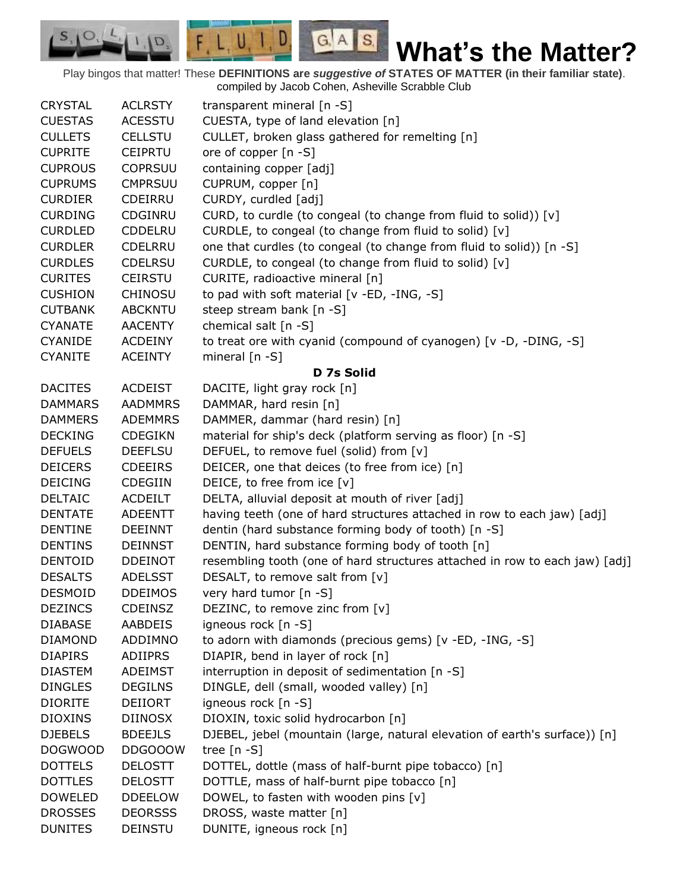Play bingos that matter! These **DEFINITIONS are** *suggestive of* **STATES OF MATTER (in their familiar state)**. compiled by Jacob Cohen, Asheville Scrabble Club

 $G.A.S.$ 

 $F, L, U, I, D$ 

D.

| <b>CRYSTAL</b> | <b>ACLRSTY</b> | transparent mineral [n -S]                                                  |
|----------------|----------------|-----------------------------------------------------------------------------|
| <b>CUESTAS</b> | <b>ACESSTU</b> | CUESTA, type of land elevation [n]                                          |
| <b>CULLETS</b> | <b>CELLSTU</b> | CULLET, broken glass gathered for remelting [n]                             |
| <b>CUPRITE</b> | <b>CEIPRTU</b> | ore of copper [n -S]                                                        |
| <b>CUPROUS</b> | <b>COPRSUU</b> | containing copper [adj]                                                     |
| <b>CUPRUMS</b> | <b>CMPRSUU</b> | CUPRUM, copper [n]                                                          |
| <b>CURDIER</b> | <b>CDEIRRU</b> | CURDY, curdled [adj]                                                        |
| <b>CURDING</b> | CDGINRU        | CURD, to curdle (to congeal (to change from fluid to solid)) [v]            |
| <b>CURDLED</b> | CDDELRU        | CURDLE, to congeal (to change from fluid to solid) [v]                      |
| <b>CURDLER</b> | <b>CDELRRU</b> | one that curdles (to congeal (to change from fluid to solid)) [n -S]        |
| <b>CURDLES</b> | <b>CDELRSU</b> | CURDLE, to congeal (to change from fluid to solid) [v]                      |
| <b>CURITES</b> | <b>CEIRSTU</b> | CURITE, radioactive mineral [n]                                             |
| <b>CUSHION</b> | <b>CHINOSU</b> | to pad with soft material [v -ED, -ING, -S]                                 |
| <b>CUTBANK</b> | <b>ABCKNTU</b> | steep stream bank [n -S]                                                    |
| <b>CYANATE</b> | <b>AACENTY</b> | chemical salt $[n -S]$                                                      |
| <b>CYANIDE</b> | <b>ACDEINY</b> | to treat ore with cyanid (compound of cyanogen) [v -D, -DING, -S]           |
| <b>CYANITE</b> | <b>ACEINTY</b> | mineral $[n - S]$                                                           |
|                |                | D 7s Solid                                                                  |
| <b>DACITES</b> | <b>ACDEIST</b> | DACITE, light gray rock [n]                                                 |
| <b>DAMMARS</b> | <b>AADMMRS</b> | DAMMAR, hard resin [n]                                                      |
| <b>DAMMERS</b> | <b>ADEMMRS</b> | DAMMER, dammar (hard resin) [n]                                             |
| <b>DECKING</b> | <b>CDEGIKN</b> | material for ship's deck (platform serving as floor) [n -S]                 |
| <b>DEFUELS</b> | <b>DEEFLSU</b> | DEFUEL, to remove fuel (solid) from [v]                                     |
| <b>DEICERS</b> | <b>CDEEIRS</b> | DEICER, one that deices (to free from ice) [n]                              |
| <b>DEICING</b> | <b>CDEGIIN</b> | DEICE, to free from ice [v]                                                 |
| <b>DELTAIC</b> | <b>ACDEILT</b> | DELTA, alluvial deposit at mouth of river [adj]                             |
| <b>DENTATE</b> | <b>ADEENTT</b> | having teeth (one of hard structures attached in row to each jaw) [adj]     |
| <b>DENTINE</b> | <b>DEEINNT</b> | dentin (hard substance forming body of tooth) [n -S]                        |
| <b>DENTINS</b> | <b>DEINNST</b> | DENTIN, hard substance forming body of tooth [n]                            |
| <b>DENTOID</b> | <b>DDEINOT</b> | resembling tooth (one of hard structures attached in row to each jaw) [adj] |
| <b>DESALTS</b> | <b>ADELSST</b> | DESALT, to remove salt from [v]                                             |
| <b>DESMOID</b> | <b>DDEIMOS</b> | very hard tumor [n -S]                                                      |
| <b>DEZINCS</b> | <b>CDEINSZ</b> | DEZINC, to remove zinc from [v]                                             |
| <b>DIABASE</b> | <b>AABDEIS</b> | igneous rock [n -S]                                                         |
| <b>DIAMOND</b> | ADDIMNO        | to adorn with diamonds (precious gems) [v -ED, -ING, -S]                    |
| <b>DIAPIRS</b> | <b>ADIIPRS</b> | DIAPIR, bend in layer of rock [n]                                           |
| <b>DIASTEM</b> | <b>ADEIMST</b> | interruption in deposit of sedimentation [n -S]                             |
| <b>DINGLES</b> | <b>DEGILNS</b> | DINGLE, dell (small, wooded valley) [n]                                     |
| <b>DIORITE</b> | <b>DEIIORT</b> | igneous rock [n -S]                                                         |
| <b>DIOXINS</b> | <b>DIINOSX</b> | DIOXIN, toxic solid hydrocarbon [n]                                         |
| <b>DJEBELS</b> | <b>BDEEJLS</b> | DJEBEL, jebel (mountain (large, natural elevation of earth's surface)) [n]  |
| <b>DOGWOOD</b> | <b>DDGOOOW</b> | tree $[n - S]$                                                              |
| <b>DOTTELS</b> | <b>DELOSTT</b> | DOTTEL, dottle (mass of half-burnt pipe tobacco) [n]                        |
| <b>DOTTLES</b> | <b>DELOSTT</b> | DOTTLE, mass of half-burnt pipe tobacco [n]                                 |
| <b>DOWELED</b> | <b>DDEELOW</b> | DOWEL, to fasten with wooden pins [v]                                       |
| <b>DROSSES</b> | <b>DEORSSS</b> | DROSS, waste matter [n]                                                     |
| <b>DUNITES</b> | <b>DEINSTU</b> | DUNITE, igneous rock [n]                                                    |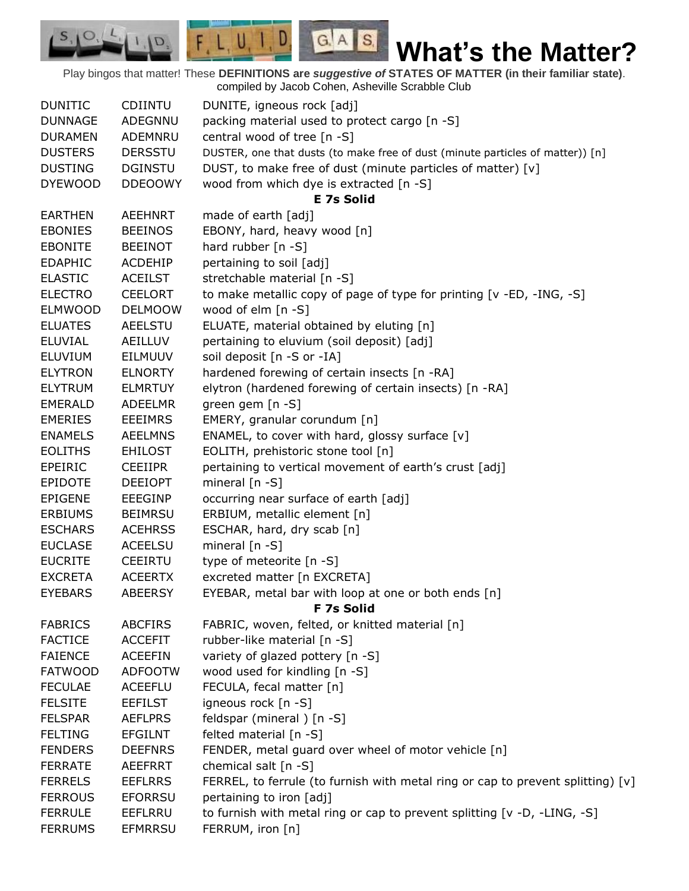Play bingos that matter! These **DEFINITIONS are** *suggestive of* **STATES OF MATTER (in their familiar state)**. compiled by Jacob Cohen, Asheville Scrabble Club

 $G.A.S.$ 

 $F, L, U, I, D$ 

D.

 $S_{1}$  $\mathcal{O},$ 

| <b>DUNITIC</b> | <b>CDIINTU</b> | DUNITE, igneous rock [adj]                                                      |
|----------------|----------------|---------------------------------------------------------------------------------|
| <b>DUNNAGE</b> | ADEGNNU        | packing material used to protect cargo [n -S]                                   |
| <b>DURAMEN</b> | ADEMNRU        | central wood of tree [n -S]                                                     |
| <b>DUSTERS</b> | <b>DERSSTU</b> | DUSTER, one that dusts (to make free of dust (minute particles of matter)) [n]  |
| <b>DUSTING</b> | <b>DGINSTU</b> | DUST, to make free of dust (minute particles of matter) [v]                     |
| <b>DYEWOOD</b> | <b>DDEOOWY</b> | wood from which dye is extracted [n -S]                                         |
|                |                | <b>E 7s Solid</b>                                                               |
| <b>EARTHEN</b> | <b>AEEHNRT</b> | made of earth [adj]                                                             |
| <b>EBONIES</b> | <b>BEEINOS</b> | EBONY, hard, heavy wood [n]                                                     |
| <b>EBONITE</b> | <b>BEEINOT</b> | hard rubber $[n - S]$                                                           |
| <b>EDAPHIC</b> | <b>ACDEHIP</b> | pertaining to soil [adj]                                                        |
| <b>ELASTIC</b> | <b>ACEILST</b> | stretchable material [n -S]                                                     |
| <b>ELECTRO</b> | <b>CEELORT</b> | to make metallic copy of page of type for printing [v -ED, -ING, -S]            |
| <b>ELMWOOD</b> | <b>DELMOOW</b> | wood of elm [n -S]                                                              |
| <b>ELUATES</b> | <b>AEELSTU</b> | ELUATE, material obtained by eluting [n]                                        |
| <b>ELUVIAL</b> | AEILLUV        | pertaining to eluvium (soil deposit) [adj]                                      |
| <b>ELUVIUM</b> | EILMUUV        | soil deposit [n -S or -IA]                                                      |
| <b>ELYTRON</b> | <b>ELNORTY</b> | hardened forewing of certain insects [n -RA]                                    |
| <b>ELYTRUM</b> | <b>ELMRTUY</b> | elytron (hardened forewing of certain insects) [n -RA]                          |
| <b>EMERALD</b> | ADEELMR        | green gem [n -S]                                                                |
| <b>EMERIES</b> | <b>EEEIMRS</b> | EMERY, granular corundum [n]                                                    |
| <b>ENAMELS</b> | <b>AEELMNS</b> | ENAMEL, to cover with hard, glossy surface [v]                                  |
| <b>EOLITHS</b> | <b>EHILOST</b> | EOLITH, prehistoric stone tool [n]                                              |
| EPEIRIC        | <b>CEEIIPR</b> | pertaining to vertical movement of earth's crust [adj]                          |
| <b>EPIDOTE</b> | <b>DEEIOPT</b> | mineral $[n - S]$                                                               |
| <b>EPIGENE</b> | <b>EEEGINP</b> | occurring near surface of earth [adj]                                           |
| <b>ERBIUMS</b> | <b>BEIMRSU</b> | ERBIUM, metallic element [n]                                                    |
| <b>ESCHARS</b> | <b>ACEHRSS</b> | ESCHAR, hard, dry scab [n]                                                      |
| <b>EUCLASE</b> | <b>ACEELSU</b> | mineral $[n - S]$                                                               |
| <b>EUCRITE</b> | <b>CEEIRTU</b> | type of meteorite [n -S]                                                        |
| <b>EXCRETA</b> | <b>ACEERTX</b> | excreted matter [n EXCRETA]                                                     |
| <b>EYEBARS</b> | <b>ABEERSY</b> | EYEBAR, metal bar with loop at one or both ends [n]                             |
|                |                | F 7s Solid                                                                      |
| <b>FABRICS</b> | <b>ABCFIRS</b> | FABRIC, woven, felted, or knitted material [n]                                  |
| <b>FACTICE</b> | <b>ACCEFIT</b> | rubber-like material [n -S]                                                     |
| <b>FAIENCE</b> | <b>ACEEFIN</b> | variety of glazed pottery [n -S]                                                |
| <b>FATWOOD</b> | <b>ADFOOTW</b> | wood used for kindling [n -S]                                                   |
| <b>FECULAE</b> | <b>ACEEFLU</b> | FECULA, fecal matter [n]                                                        |
| <b>FELSITE</b> | <b>EEFILST</b> | igneous rock [n -S]                                                             |
| <b>FELSPAR</b> | <b>AEFLPRS</b> | feldspar (mineral) [n -S]                                                       |
| <b>FELTING</b> | <b>EFGILNT</b> | felted material [n -S]                                                          |
| <b>FENDERS</b> | <b>DEEFNRS</b> | FENDER, metal guard over wheel of motor vehicle [n]                             |
| <b>FERRATE</b> | <b>AEEFRRT</b> | chemical salt [n -S]                                                            |
| <b>FERRELS</b> | <b>EEFLRRS</b> | FERREL, to ferrule (to furnish with metal ring or cap to prevent splitting) [v] |
| <b>FERROUS</b> | <b>EFORRSU</b> | pertaining to iron [adj]                                                        |
| <b>FERRULE</b> | <b>EEFLRRU</b> | to furnish with metal ring or cap to prevent splitting [v -D, -LING, -S]        |
| <b>FERRUMS</b> | <b>EFMRRSU</b> | FERRUM, iron [n]                                                                |
|                |                |                                                                                 |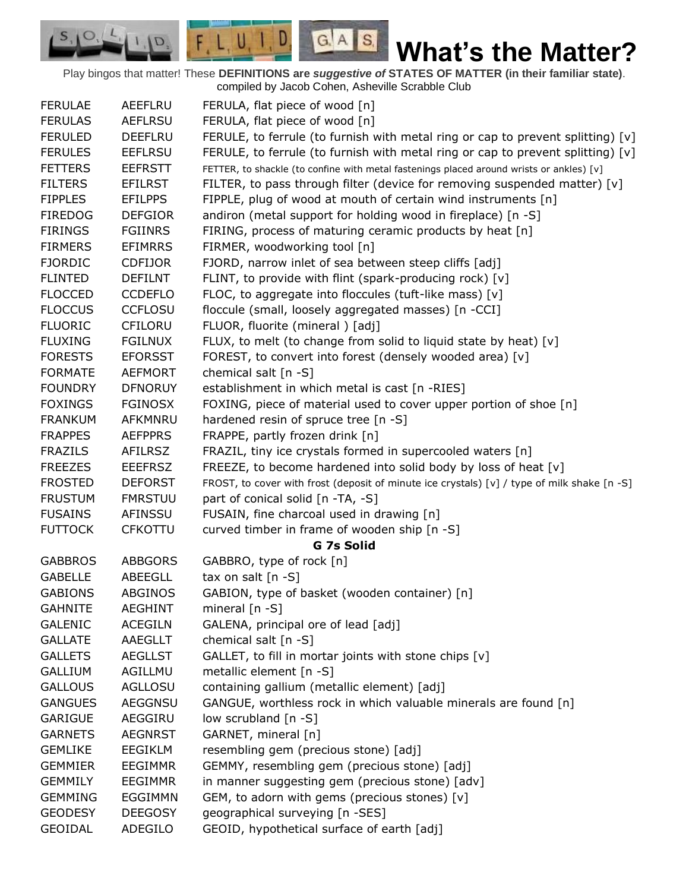Play bingos that matter! These **DEFINITIONS are** *suggestive of* **STATES OF MATTER (in their familiar state)**. compiled by Jacob Cohen, Asheville Scrabble Club

 $G.A.S.$ 

 $F, L, U, I, D$ 

D.

| <b>FERULAE</b> | AEEFLRU        | FERULA, flat piece of wood [n]                                                              |
|----------------|----------------|---------------------------------------------------------------------------------------------|
| <b>FERULAS</b> | <b>AEFLRSU</b> | FERULA, flat piece of wood [n]                                                              |
| <b>FERULED</b> | <b>DEEFLRU</b> | FERULE, to ferrule (to furnish with metal ring or cap to prevent splitting) $[v]$           |
| <b>FERULES</b> | <b>EEFLRSU</b> | FERULE, to ferrule (to furnish with metal ring or cap to prevent splitting) $[v]$           |
| <b>FETTERS</b> | <b>EEFRSTT</b> | FETTER, to shackle (to confine with metal fastenings placed around wrists or ankles) [v]    |
| <b>FILTERS</b> | <b>EFILRST</b> | FILTER, to pass through filter (device for removing suspended matter) $[v]$                 |
| <b>FIPPLES</b> | <b>EFILPPS</b> | FIPPLE, plug of wood at mouth of certain wind instruments [n]                               |
| <b>FIREDOG</b> | <b>DEFGIOR</b> | andiron (metal support for holding wood in fireplace) [n -S]                                |
| <b>FIRINGS</b> | <b>FGIINRS</b> | FIRING, process of maturing ceramic products by heat [n]                                    |
| <b>FIRMERS</b> | <b>EFIMRRS</b> | FIRMER, woodworking tool [n]                                                                |
| <b>FJORDIC</b> | <b>CDFIJOR</b> | FJORD, narrow inlet of sea between steep cliffs [adj]                                       |
| <b>FLINTED</b> | <b>DEFILNT</b> | FLINT, to provide with flint (spark-producing rock) [v]                                     |
| <b>FLOCCED</b> | <b>CCDEFLO</b> | FLOC, to aggregate into floccules (tuft-like mass) [v]                                      |
| <b>FLOCCUS</b> | <b>CCFLOSU</b> | floccule (small, loosely aggregated masses) [n -CCI]                                        |
| <b>FLUORIC</b> | <b>CFILORU</b> | FLUOR, fluorite (mineral) [adj]                                                             |
| <b>FLUXING</b> | <b>FGILNUX</b> | FLUX, to melt (to change from solid to liquid state by heat) [v]                            |
| <b>FORESTS</b> | <b>EFORSST</b> | FOREST, to convert into forest (densely wooded area) [v]                                    |
| <b>FORMATE</b> | <b>AEFMORT</b> | chemical salt [n -S]                                                                        |
| <b>FOUNDRY</b> | <b>DFNORUY</b> | establishment in which metal is cast [n -RIES]                                              |
| <b>FOXINGS</b> | <b>FGINOSX</b> | FOXING, piece of material used to cover upper portion of shoe [n]                           |
| <b>FRANKUM</b> | AFKMNRU        | hardened resin of spruce tree [n -S]                                                        |
| <b>FRAPPES</b> | <b>AEFPPRS</b> | FRAPPE, partly frozen drink [n]                                                             |
| <b>FRAZILS</b> | <b>AFILRSZ</b> | FRAZIL, tiny ice crystals formed in supercooled waters [n]                                  |
| <b>FREEZES</b> | <b>EEEFRSZ</b> | FREEZE, to become hardened into solid body by loss of heat [v]                              |
| <b>FROSTED</b> | <b>DEFORST</b> | FROST, to cover with frost (deposit of minute ice crystals) [v] / type of milk shake [n -S] |
| <b>FRUSTUM</b> | <b>FMRSTUU</b> | part of conical solid [n -TA, -S]                                                           |
| <b>FUSAINS</b> | <b>AFINSSU</b> | FUSAIN, fine charcoal used in drawing [n]                                                   |
| <b>FUTTOCK</b> | <b>CFKOTTU</b> | curved timber in frame of wooden ship [n -S]                                                |
|                |                | G 7s Solid                                                                                  |
| <b>GABBROS</b> | <b>ABBGORS</b> | GABBRO, type of rock [n]                                                                    |
| <b>GABELLE</b> | <b>ABEEGLL</b> | tax on salt $[n -S]$                                                                        |
| <b>GABIONS</b> | <b>ABGINOS</b> | GABION, type of basket (wooden container) [n]                                               |
| <b>GAHNITE</b> | <b>AEGHINT</b> | mineral $[n - S]$                                                                           |
| <b>GALENIC</b> | <b>ACEGILN</b> | GALENA, principal ore of lead [adj]                                                         |
| <b>GALLATE</b> | AAEGLLT        | chemical salt [n -S]                                                                        |
| <b>GALLETS</b> | <b>AEGLLST</b> | GALLET, to fill in mortar joints with stone chips [v]                                       |
| <b>GALLIUM</b> | AGILLMU        | metallic element [n -S]                                                                     |
| <b>GALLOUS</b> | <b>AGLLOSU</b> | containing gallium (metallic element) [adj]                                                 |
| <b>GANGUES</b> | <b>AEGGNSU</b> | GANGUE, worthless rock in which valuable minerals are found [n]                             |
| <b>GARIGUE</b> | AEGGIRU        | low scrubland [n -S]                                                                        |
| <b>GARNETS</b> | <b>AEGNRST</b> | GARNET, mineral [n]                                                                         |
| <b>GEMLIKE</b> | <b>EEGIKLM</b> | resembling gem (precious stone) [adj]                                                       |
| <b>GEMMIER</b> | <b>EEGIMMR</b> | GEMMY, resembling gem (precious stone) [adj]                                                |
| <b>GEMMILY</b> | <b>EEGIMMR</b> | in manner suggesting gem (precious stone) [adv]                                             |
| <b>GEMMING</b> | EGGIMMN        | GEM, to adorn with gems (precious stones) [v]                                               |
| <b>GEODESY</b> | <b>DEEGOSY</b> | geographical surveying [n -SES]                                                             |
| <b>GEOIDAL</b> | ADEGILO        | GEOID, hypothetical surface of earth [adj]                                                  |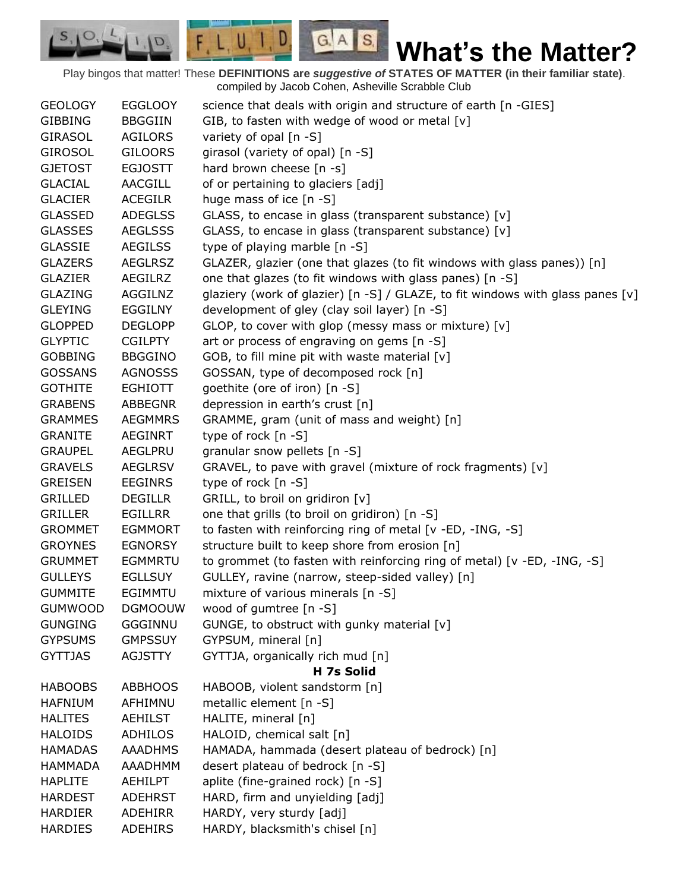Play bingos that matter! These **DEFINITIONS are** *suggestive of* **STATES OF MATTER (in their familiar state)**. compiled by Jacob Cohen, Asheville Scrabble Club

 $G.A.S.$ 

 $F, L, U, I, D$ 

D.

| <b>GEOLOGY</b> | <b>EGGLOOY</b> | science that deals with origin and structure of earth [n -GIES]                |
|----------------|----------------|--------------------------------------------------------------------------------|
| <b>GIBBING</b> | <b>BBGGIIN</b> | GIB, to fasten with wedge of wood or metal [v]                                 |
| <b>GIRASOL</b> | <b>AGILORS</b> | variety of opal [n -S]                                                         |
| <b>GIROSOL</b> | <b>GILOORS</b> | girasol (variety of opal) [n -S]                                               |
| <b>GJETOST</b> | <b>EGJOSTT</b> | hard brown cheese [n -s]                                                       |
| <b>GLACIAL</b> | <b>AACGILL</b> | of or pertaining to glaciers [adj]                                             |
| <b>GLACIER</b> | <b>ACEGILR</b> | huge mass of ice [n -S]                                                        |
| <b>GLASSED</b> | <b>ADEGLSS</b> | GLASS, to encase in glass (transparent substance) [v]                          |
| <b>GLASSES</b> | <b>AEGLSSS</b> | GLASS, to encase in glass (transparent substance) [v]                          |
| <b>GLASSIE</b> | <b>AEGILSS</b> | type of playing marble [n -S]                                                  |
| <b>GLAZERS</b> | <b>AEGLRSZ</b> | GLAZER, glazier (one that glazes (to fit windows with glass panes)) [n]        |
| <b>GLAZIER</b> | AEGILRZ        | one that glazes (to fit windows with glass panes) [n -S]                       |
| <b>GLAZING</b> | AGGILNZ        | glaziery (work of glazier) [n -S] / GLAZE, to fit windows with glass panes [v] |
| <b>GLEYING</b> | <b>EGGILNY</b> | development of gley (clay soil layer) [n -S]                                   |
| <b>GLOPPED</b> | <b>DEGLOPP</b> | GLOP, to cover with glop (messy mass or mixture) [v]                           |
| <b>GLYPTIC</b> | <b>CGILPTY</b> | art or process of engraving on gems [n -S]                                     |
| <b>GOBBING</b> | <b>BBGGINO</b> | GOB, to fill mine pit with waste material [v]                                  |
| <b>GOSSANS</b> | <b>AGNOSSS</b> | GOSSAN, type of decomposed rock [n]                                            |
| <b>GOTHITE</b> | EGHIOTT        | goethite (ore of iron) [n -S]                                                  |
| <b>GRABENS</b> | <b>ABBEGNR</b> | depression in earth's crust [n]                                                |
| <b>GRAMMES</b> | <b>AEGMMRS</b> | GRAMME, gram (unit of mass and weight) [n]                                     |
| <b>GRANITE</b> | AEGINRT        | type of rock [n -S]                                                            |
| <b>GRAUPEL</b> | <b>AEGLPRU</b> | granular snow pellets [n -S]                                                   |
| <b>GRAVELS</b> | <b>AEGLRSV</b> | GRAVEL, to pave with gravel (mixture of rock fragments) [v]                    |
| <b>GREISEN</b> | <b>EEGINRS</b> | type of rock [n -S]                                                            |
| <b>GRILLED</b> | <b>DEGILLR</b> | GRILL, to broil on gridiron [v]                                                |
| <b>GRILLER</b> | <b>EGILLRR</b> | one that grills (to broil on gridiron) [n -S]                                  |
| <b>GROMMET</b> | <b>EGMMORT</b> | to fasten with reinforcing ring of metal [v -ED, -ING, -S]                     |
| <b>GROYNES</b> | <b>EGNORSY</b> | structure built to keep shore from erosion [n]                                 |
| <b>GRUMMET</b> | <b>EGMMRTU</b> | to grommet (to fasten with reinforcing ring of metal) [v -ED, -ING, -S]        |
| <b>GULLEYS</b> | <b>EGLLSUY</b> | GULLEY, ravine (narrow, steep-sided valley) [n]                                |
| <b>GUMMITE</b> | <b>EGIMMTU</b> | mixture of various minerals [n -S]                                             |
| <b>GUMWOOD</b> | <b>DGMOOUW</b> | wood of gumtree [n -S]                                                         |
| <b>GUNGING</b> | <b>GGGINNU</b> | GUNGE, to obstruct with gunky material [v]                                     |
| <b>GYPSUMS</b> | <b>GMPSSUY</b> | GYPSUM, mineral [n]                                                            |
| <b>GYTTJAS</b> | <b>AGJSTTY</b> | GYTTJA, organically rich mud [n]                                               |
|                |                | H 7s Solid                                                                     |
| <b>HABOOBS</b> | <b>ABBHOOS</b> | HABOOB, violent sandstorm [n]                                                  |
| <b>HAFNIUM</b> | AFHIMNU        | metallic element [n -S]                                                        |
| <b>HALITES</b> | <b>AEHILST</b> | HALITE, mineral [n]                                                            |
| <b>HALOIDS</b> | <b>ADHILOS</b> | HALOID, chemical salt [n]                                                      |
| <b>HAMADAS</b> | <b>AAADHMS</b> | HAMADA, hammada (desert plateau of bedrock) [n]                                |
| <b>HAMMADA</b> | AAADHMM        | desert plateau of bedrock [n -S]                                               |
| <b>HAPLITE</b> | <b>AEHILPT</b> | aplite (fine-grained rock) [n -S]                                              |
| <b>HARDEST</b> | <b>ADEHRST</b> | HARD, firm and unyielding [adj]                                                |
| <b>HARDIER</b> | <b>ADEHIRR</b> | HARDY, very sturdy [adj]                                                       |
| <b>HARDIES</b> | <b>ADEHIRS</b> | HARDY, blacksmith's chisel [n]                                                 |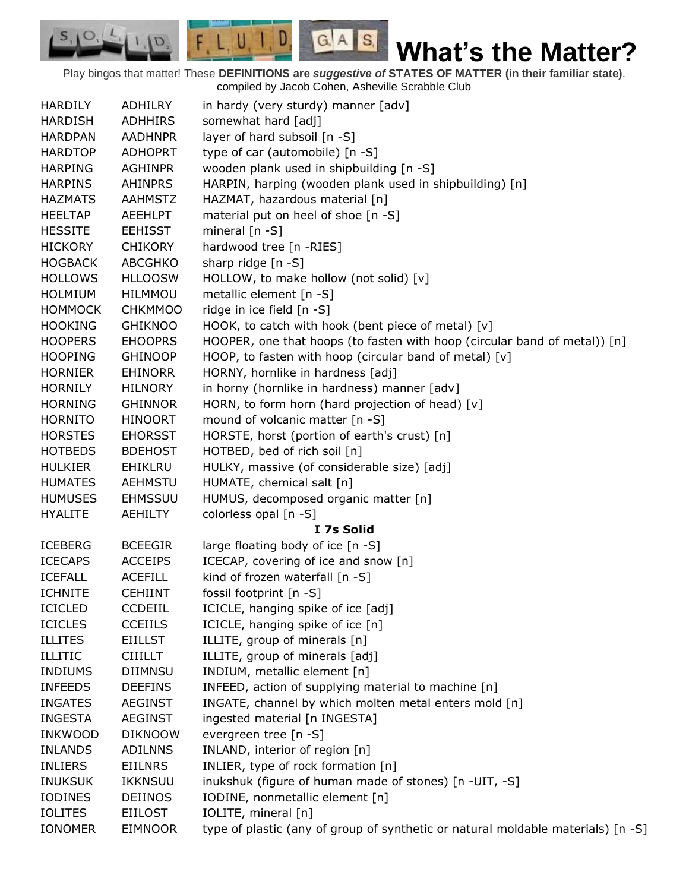Play bingos that matter! These **DEFINITIONS are** *suggestive of* **STATES OF MATTER (in their familiar state)**. compiled by Jacob Cohen, Asheville Scrabble Club

 $G.A.S.$ 

 $F, L, U, I, D$ 

D.

| <b>HARDILY</b> | ADHILRY        | in hardy (very sturdy) manner [adv]                                              |
|----------------|----------------|----------------------------------------------------------------------------------|
| <b>HARDISH</b> | <b>ADHHIRS</b> | somewhat hard [adj]                                                              |
| <b>HARDPAN</b> | <b>AADHNPR</b> | layer of hard subsoil [n -S]                                                     |
| <b>HARDTOP</b> | <b>ADHOPRT</b> | type of car (automobile) [n -S]                                                  |
| <b>HARPING</b> | <b>AGHINPR</b> | wooden plank used in shipbuilding [n -S]                                         |
| <b>HARPINS</b> | <b>AHINPRS</b> | HARPIN, harping (wooden plank used in shipbuilding) [n]                          |
| <b>HAZMATS</b> | <b>AAHMSTZ</b> | HAZMAT, hazardous material [n]                                                   |
| <b>HEELTAP</b> | <b>AEEHLPT</b> | material put on heel of shoe [n -S]                                              |
| <b>HESSITE</b> | <b>EEHISST</b> | mineral $[n - S]$                                                                |
| <b>HICKORY</b> | <b>CHIKORY</b> | hardwood tree [n -RIES]                                                          |
| <b>HOGBACK</b> | <b>ABCGHKO</b> | sharp ridge [n -S]                                                               |
| <b>HOLLOWS</b> | <b>HLLOOSW</b> | HOLLOW, to make hollow (not solid) [v]                                           |
| <b>HOLMIUM</b> | HILMMOU        | metallic element [n -S]                                                          |
| <b>HOMMOCK</b> | <b>CHKMMOO</b> | ridge in ice field [n -S]                                                        |
| <b>HOOKING</b> | <b>GHIKNOO</b> | HOOK, to catch with hook (bent piece of metal) [v]                               |
| <b>HOOPERS</b> | <b>EHOOPRS</b> | HOOPER, one that hoops (to fasten with hoop (circular band of metal)) [n]        |
| <b>HOOPING</b> | <b>GHINOOP</b> | HOOP, to fasten with hoop (circular band of metal) [v]                           |
| <b>HORNIER</b> | <b>EHINORR</b> | HORNY, hornlike in hardness [adj]                                                |
| <b>HORNILY</b> | <b>HILNORY</b> | in horny (hornlike in hardness) manner [adv]                                     |
| <b>HORNING</b> | <b>GHINNOR</b> | HORN, to form horn (hard projection of head) [v]                                 |
| <b>HORNITO</b> | <b>HINOORT</b> | mound of volcanic matter [n -S]                                                  |
| <b>HORSTES</b> | <b>EHORSST</b> | HORSTE, horst (portion of earth's crust) [n]                                     |
| <b>HOTBEDS</b> | <b>BDEHOST</b> | HOTBED, bed of rich soil [n]                                                     |
| <b>HULKIER</b> | EHIKLRU        | HULKY, massive (of considerable size) [adj]                                      |
| <b>HUMATES</b> | <b>AEHMSTU</b> | HUMATE, chemical salt [n]                                                        |
| <b>HUMUSES</b> | <b>EHMSSUU</b> | HUMUS, decomposed organic matter [n]                                             |
| <b>HYALITE</b> | <b>AEHILTY</b> | colorless opal [n -S]                                                            |
|                |                | I 7s Solid                                                                       |
| <b>ICEBERG</b> | <b>BCEEGIR</b> | large floating body of ice [n -S]                                                |
| <b>ICECAPS</b> | <b>ACCEIPS</b> | ICECAP, covering of ice and snow [n]                                             |
| <b>ICEFALL</b> | <b>ACEFILL</b> | kind of frozen waterfall [n -S]                                                  |
| <b>ICHNITE</b> | <b>CEHIINT</b> | fossil footprint [n -S]                                                          |
| <b>ICICLED</b> | <b>CCDEIIL</b> | ICICLE, hanging spike of ice [adj]                                               |
| <b>ICICLES</b> | <b>CCEIILS</b> | ICICLE, hanging spike of ice [n]                                                 |
| <b>ILLITES</b> | <b>EIILLST</b> | ILLITE, group of minerals [n]                                                    |
| <b>ILLITIC</b> | <b>CIIILLT</b> | ILLITE, group of minerals [adj]                                                  |
| <b>INDIUMS</b> | <b>DIIMNSU</b> | INDIUM, metallic element [n]                                                     |
| <b>INFEEDS</b> | <b>DEEFINS</b> | INFEED, action of supplying material to machine [n]                              |
| <b>INGATES</b> | <b>AEGINST</b> | INGATE, channel by which molten metal enters mold [n]                            |
| <b>INGESTA</b> | <b>AEGINST</b> | ingested material [n INGESTA]                                                    |
| <b>INKWOOD</b> | <b>DIKNOOW</b> | evergreen tree [n -S]                                                            |
| <b>INLANDS</b> | <b>ADILNNS</b> | INLAND, interior of region [n]                                                   |
| <b>INLIERS</b> | <b>EIILNRS</b> |                                                                                  |
|                |                | INLIER, type of rock formation [n]                                               |
| <b>INUKSUK</b> | <b>IKKNSUU</b> | inukshuk (figure of human made of stones) [n -UIT, -S]                           |
| <b>IODINES</b> | <b>DEIINOS</b> | IODINE, nonmetallic element [n]                                                  |
| <b>IOLITES</b> | <b>EIILOST</b> | IOLITE, mineral [n]                                                              |
| <b>IONOMER</b> | <b>EIMNOOR</b> | type of plastic (any of group of synthetic or natural moldable materials) [n -S] |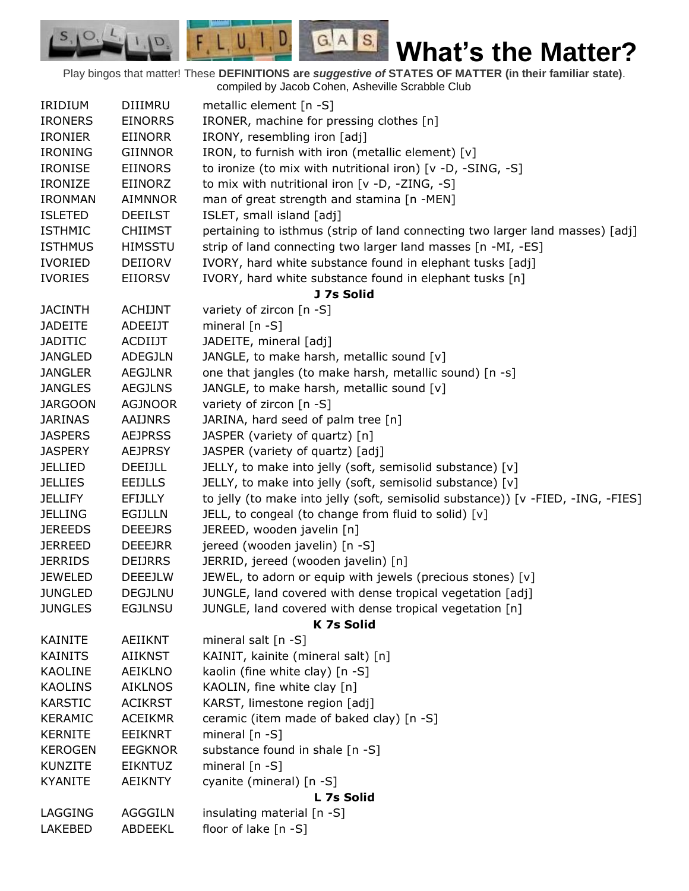Play bingos that matter! These **DEFINITIONS are** *suggestive of* **STATES OF MATTER (in their familiar state)**. compiled by Jacob Cohen, Asheville Scrabble Club

 $G.A.S.$ 

 $F, L, U, I, D$ 

D.

| <b>IRIDIUM</b> | DIIIMRU        | metallic element [n -S]                                                          |
|----------------|----------------|----------------------------------------------------------------------------------|
| <b>IRONERS</b> | <b>EINORRS</b> | IRONER, machine for pressing clothes [n]                                         |
| <b>IRONIER</b> | <b>EIINORR</b> | IRONY, resembling iron [adj]                                                     |
| <b>IRONING</b> | <b>GIINNOR</b> | IRON, to furnish with iron (metallic element) [v]                                |
| <b>IRONISE</b> | <b>EIINORS</b> | to ironize (to mix with nutritional iron) [v -D, -SING, -S]                      |
| <b>IRONIZE</b> | EIINORZ        | to mix with nutritional iron [v -D, -ZING, -S]                                   |
| <b>IRONMAN</b> | AIMNNOR        | man of great strength and stamina [n -MEN]                                       |
|                |                |                                                                                  |
| <b>ISLETED</b> | <b>DEEILST</b> | ISLET, small island [adj]                                                        |
| <b>ISTHMIC</b> | <b>CHIIMST</b> | pertaining to isthmus (strip of land connecting two larger land masses) [adj]    |
| <b>ISTHMUS</b> | <b>HIMSSTU</b> | strip of land connecting two larger land masses [n -MI, -ES]                     |
| <b>IVORIED</b> | DEIIORV        | IVORY, hard white substance found in elephant tusks [adj]                        |
| <b>IVORIES</b> | EIIORSV        | IVORY, hard white substance found in elephant tusks [n]                          |
| <b>JACINTH</b> | <b>ACHIJNT</b> | J 7s Solid                                                                       |
|                | <b>ADEEIJT</b> | variety of zircon [n -S]                                                         |
| <b>JADEITE</b> |                | mineral $[n - S]$                                                                |
| <b>JADITIC</b> | ACDIIJT        | JADEITE, mineral [adj]                                                           |
| <b>JANGLED</b> | <b>ADEGJLN</b> | JANGLE, to make harsh, metallic sound [v]                                        |
| <b>JANGLER</b> | <b>AEGJLNR</b> | one that jangles (to make harsh, metallic sound) [n -s]                          |
| <b>JANGLES</b> | <b>AEGJLNS</b> | JANGLE, to make harsh, metallic sound [v]                                        |
| <b>JARGOON</b> | <b>AGJNOOR</b> | variety of zircon [n -S]                                                         |
| <b>JARINAS</b> | <b>AAIJNRS</b> | JARINA, hard seed of palm tree [n]                                               |
| <b>JASPERS</b> | <b>AEJPRSS</b> | JASPER (variety of quartz) [n]                                                   |
| <b>JASPERY</b> | <b>AEJPRSY</b> | JASPER (variety of quartz) [adj]                                                 |
| JELLIED        | DEEIJLL        | JELLY, to make into jelly (soft, semisolid substance) [v]                        |
| <b>JELLIES</b> | EEIJLLS        | JELLY, to make into jelly (soft, semisolid substance) [v]                        |
| <b>JELLIFY</b> | <b>EFIJLLY</b> | to jelly (to make into jelly (soft, semisolid substance)) [v -FIED, -ING, -FIES] |
| <b>JELLING</b> | <b>EGIJLLN</b> | JELL, to congeal (to change from fluid to solid) [v]                             |
| <b>JEREEDS</b> | <b>DEEEJRS</b> | JEREED, wooden javelin [n]                                                       |
| <b>JERREED</b> | <b>DEEEJRR</b> | jereed (wooden javelin) [n -S]                                                   |
| <b>JERRIDS</b> | <b>DEIJRRS</b> | JERRID, jereed (wooden javelin) [n]                                              |
| <b>JEWELED</b> | <b>DEEEJLW</b> | JEWEL, to adorn or equip with jewels (precious stones) [v]                       |
| <b>JUNGLED</b> | <b>DEGJLNU</b> | JUNGLE, land covered with dense tropical vegetation [adj]                        |
| <b>JUNGLES</b> | <b>EGJLNSU</b> | JUNGLE, land covered with dense tropical vegetation [n]                          |
|                |                | K 7s Solid                                                                       |
| <b>KAINITE</b> | <b>AEIIKNT</b> | mineral salt [n -S]                                                              |
| <b>KAINITS</b> | AIIKNST        | KAINIT, kainite (mineral salt) [n]                                               |
| <b>KAOLINE</b> | <b>AEIKLNO</b> | kaolin (fine white clay) [n -S]                                                  |
| <b>KAOLINS</b> | <b>AIKLNOS</b> | KAOLIN, fine white clay [n]                                                      |
| <b>KARSTIC</b> | <b>ACIKRST</b> | KARST, limestone region [adj]                                                    |
| KERAMIC        | <b>ACEIKMR</b> | ceramic (item made of baked clay) [n -S]                                         |
| <b>KERNITE</b> | <b>EEIKNRT</b> | mineral $[n - S]$                                                                |
| <b>KEROGEN</b> | <b>EEGKNOR</b> | substance found in shale [n -S]                                                  |
| <b>KUNZITE</b> | <b>EIKNTUZ</b> | mineral $[n - S]$                                                                |
| <b>KYANITE</b> | <b>AEIKNTY</b> | cyanite (mineral) [n -S]                                                         |
| L 7s Solid     |                |                                                                                  |
| LAGGING        | AGGGILN        | insulating material [n -S]                                                       |
| <b>LAKEBED</b> | <b>ABDEEKL</b> | floor of lake [n -S]                                                             |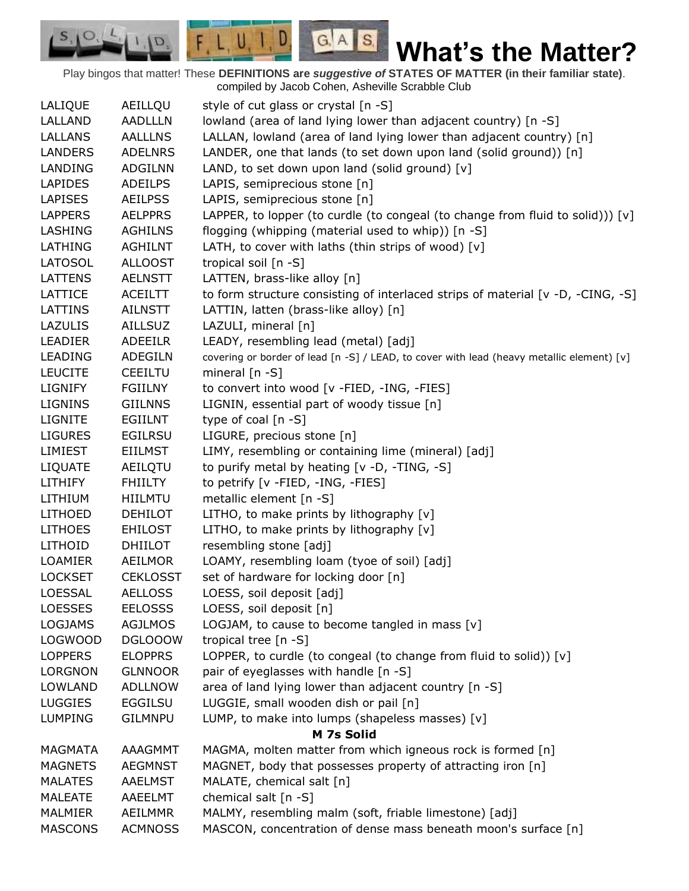Play bingos that matter! These **DEFINITIONS are** *suggestive of* **STATES OF MATTER (in their familiar state)**. compiled by Jacob Cohen, Asheville Scrabble Club

 $G.A.S.$ 

 $F, L, U, I, D$ 

D.

| LALIQUE        | AEILLQU         | style of cut glass or crystal [n -S]                                                      |
|----------------|-----------------|-------------------------------------------------------------------------------------------|
| LALLAND        | <b>AADLLLN</b>  | lowland (area of land lying lower than adjacent country) [n -S]                           |
| <b>LALLANS</b> | <b>AALLLNS</b>  | LALLAN, lowland (area of land lying lower than adjacent country) [n]                      |
| <b>LANDERS</b> | <b>ADELNRS</b>  | LANDER, one that lands (to set down upon land (solid ground)) [n]                         |
| LANDING        | <b>ADGILNN</b>  | LAND, to set down upon land (solid ground) [v]                                            |
| <b>LAPIDES</b> | <b>ADEILPS</b>  | LAPIS, semiprecious stone [n]                                                             |
| <b>LAPISES</b> | <b>AEILPSS</b>  | LAPIS, semiprecious stone [n]                                                             |
| <b>LAPPERS</b> | <b>AELPPRS</b>  | LAPPER, to lopper (to curdle (to congeal (to change from fluid to solid))) [v]            |
| LASHING        | <b>AGHILNS</b>  | flogging (whipping (material used to whip)) [n -S]                                        |
| LATHING        | <b>AGHILNT</b>  | LATH, to cover with laths (thin strips of wood) [v]                                       |
| <b>LATOSOL</b> | <b>ALLOOST</b>  | tropical soil [n -S]                                                                      |
| <b>LATTENS</b> | <b>AELNSTT</b>  | LATTEN, brass-like alloy [n]                                                              |
| LATTICE        | ACEILTT         | to form structure consisting of interlaced strips of material [v -D, -CING, -S]           |
| LATTINS        | AILNSTT         | LATTIN, latten (brass-like alloy) [n]                                                     |
| <b>LAZULIS</b> | <b>AILLSUZ</b>  | LAZULI, mineral [n]                                                                       |
| <b>LEADIER</b> | <b>ADEEILR</b>  | LEADY, resembling lead (metal) [adj]                                                      |
| <b>LEADING</b> | <b>ADEGILN</b>  | covering or border of lead [n -S] / LEAD, to cover with lead (heavy metallic element) [v] |
| <b>LEUCITE</b> | <b>CEEILTU</b>  | mineral $[n - S]$                                                                         |
| <b>LIGNIFY</b> | <b>FGIILNY</b>  | to convert into wood [v -FIED, -ING, -FIES]                                               |
| <b>LIGNINS</b> | <b>GIILNNS</b>  | LIGNIN, essential part of woody tissue [n]                                                |
| LIGNITE        | EGIILNT         | type of coal [n -S]                                                                       |
| <b>LIGURES</b> | <b>EGILRSU</b>  | LIGURE, precious stone [n]                                                                |
| <b>LIMIEST</b> | <b>EIILMST</b>  | LIMY, resembling or containing lime (mineral) [adj]                                       |
| <b>LIQUATE</b> | AEILQTU         | to purify metal by heating [v -D, -TING, -S]                                              |
| <b>LITHIFY</b> | <b>FHIILTY</b>  | to petrify [v -FIED, -ING, -FIES]                                                         |
| LITHIUM        | HIILMTU         | metallic element [n -S]                                                                   |
| <b>LITHOED</b> | <b>DEHILOT</b>  | LITHO, to make prints by lithography [v]                                                  |
| <b>LITHOES</b> | <b>EHILOST</b>  | LITHO, to make prints by lithography [v]                                                  |
| LITHOID        | <b>DHIILOT</b>  | resembling stone [adj]                                                                    |
| <b>LOAMIER</b> | <b>AEILMOR</b>  | LOAMY, resembling loam (tyoe of soil) [adj]                                               |
| <b>LOCKSET</b> | <b>CEKLOSST</b> | set of hardware for locking door [n]                                                      |
| <b>LOESSAL</b> | <b>AELLOSS</b>  | LOESS, soil deposit [adj]                                                                 |
| <b>LOESSES</b> | <b>EELOSSS</b>  | LOESS, soil deposit [n]                                                                   |
| <b>LOGJAMS</b> | <b>AGJLMOS</b>  | LOGJAM, to cause to become tangled in mass $[v]$                                          |
| <b>LOGWOOD</b> | <b>DGLOOOW</b>  | tropical tree [n -S]                                                                      |
| <b>LOPPERS</b> | <b>ELOPPRS</b>  | LOPPER, to curdle (to congeal (to change from fluid to solid)) [v]                        |
| <b>LORGNON</b> | <b>GLNNOOR</b>  | pair of eyeglasses with handle [n -S]                                                     |
| <b>LOWLAND</b> | <b>ADLLNOW</b>  | area of land lying lower than adjacent country [n -S]                                     |
| <b>LUGGIES</b> | <b>EGGILSU</b>  | LUGGIE, small wooden dish or pail [n]                                                     |
| <b>LUMPING</b> | <b>GILMNPU</b>  | LUMP, to make into lumps (shapeless masses) [v]                                           |
|                |                 | M 7s Solid                                                                                |
| <b>MAGMATA</b> | <b>AAAGMMT</b>  | MAGMA, molten matter from which igneous rock is formed [n]                                |
| <b>MAGNETS</b> | <b>AEGMNST</b>  | MAGNET, body that possesses property of attracting iron [n]                               |
| <b>MALATES</b> | <b>AAELMST</b>  | MALATE, chemical salt [n]                                                                 |
| <b>MALEATE</b> | AAEELMT         | chemical salt [n -S]                                                                      |
| MALMIER        | AEILMMR         | MALMY, resembling malm (soft, friable limestone) [adj]                                    |
| <b>MASCONS</b> | <b>ACMNOSS</b>  | MASCON, concentration of dense mass beneath moon's surface [n]                            |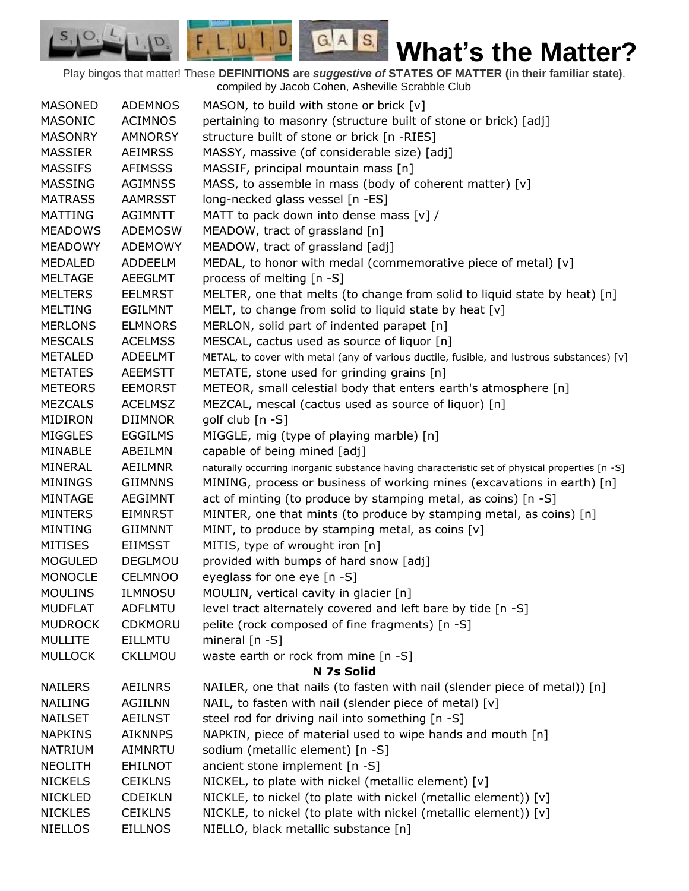Play bingos that matter! These **DEFINITIONS are** *suggestive of* **STATES OF MATTER (in their familiar state)**. compiled by Jacob Cohen, Asheville Scrabble Club

 $G.A.S.$ 

 $F, L, U, I, D$ 

D.

| <b>MASONED</b> | <b>ADEMNOS</b> | MASON, to build with stone or brick [v]                                                         |
|----------------|----------------|-------------------------------------------------------------------------------------------------|
| <b>MASONIC</b> | <b>ACIMNOS</b> | pertaining to masonry (structure built of stone or brick) [adj]                                 |
| <b>MASONRY</b> | <b>AMNORSY</b> | structure built of stone or brick [n -RIES]                                                     |
| <b>MASSIER</b> | <b>AEIMRSS</b> | MASSY, massive (of considerable size) [adj]                                                     |
| <b>MASSIFS</b> | <b>AFIMSSS</b> | MASSIF, principal mountain mass [n]                                                             |
| <b>MASSING</b> | <b>AGIMNSS</b> | MASS, to assemble in mass (body of coherent matter) [v]                                         |
| <b>MATRASS</b> | <b>AAMRSST</b> | long-necked glass vessel [n -ES]                                                                |
| <b>MATTING</b> | <b>AGIMNTT</b> | MATT to pack down into dense mass [v] /                                                         |
| <b>MEADOWS</b> | <b>ADEMOSW</b> | MEADOW, tract of grassland [n]                                                                  |
| <b>MEADOWY</b> | ADEMOWY        | MEADOW, tract of grassland [adj]                                                                |
| <b>MEDALED</b> | <b>ADDEELM</b> | MEDAL, to honor with medal (commemorative piece of metal) [v]                                   |
| <b>MELTAGE</b> | <b>AEEGLMT</b> | process of melting [n -S]                                                                       |
| <b>MELTERS</b> | <b>EELMRST</b> | MELTER, one that melts (to change from solid to liquid state by heat) [n]                       |
| <b>MELTING</b> | <b>EGILMNT</b> | MELT, to change from solid to liquid state by heat [v]                                          |
| <b>MERLONS</b> | <b>ELMNORS</b> | MERLON, solid part of indented parapet [n]                                                      |
| <b>MESCALS</b> | <b>ACELMSS</b> | MESCAL, cactus used as source of liquor [n]                                                     |
| <b>METALED</b> | <b>ADEELMT</b> | METAL, to cover with metal (any of various ductile, fusible, and lustrous substances) [v]       |
| <b>METATES</b> | <b>AEEMSTT</b> | METATE, stone used for grinding grains [n]                                                      |
| <b>METEORS</b> | <b>EEMORST</b> | METEOR, small celestial body that enters earth's atmosphere [n]                                 |
| <b>MEZCALS</b> | <b>ACELMSZ</b> | MEZCAL, mescal (cactus used as source of liquor) [n]                                            |
| MIDIRON        | <b>DIIMNOR</b> | golf club $[n -S]$                                                                              |
| <b>MIGGLES</b> | <b>EGGILMS</b> | MIGGLE, mig (type of playing marble) [n]                                                        |
| MINABLE        | ABEILMN        | capable of being mined [adj]                                                                    |
| MINERAL        | <b>AEILMNR</b> | naturally occurring inorganic substance having characteristic set of physical properties [n -S] |
| <b>MININGS</b> | <b>GIIMNNS</b> | MINING, process or business of working mines (excavations in earth) [n]                         |
| MINTAGE        | <b>AEGIMNT</b> | act of minting (to produce by stamping metal, as coins) [n -S]                                  |
| <b>MINTERS</b> | <b>EIMNRST</b> | MINTER, one that mints (to produce by stamping metal, as coins) [n]                             |
| <b>MINTING</b> | <b>GIIMNNT</b> | MINT, to produce by stamping metal, as coins [v]                                                |
| <b>MITISES</b> | <b>EIIMSST</b> | MITIS, type of wrought iron [n]                                                                 |
| <b>MOGULED</b> | <b>DEGLMOU</b> | provided with bumps of hard snow [adj]                                                          |
| <b>MONOCLE</b> | <b>CELMNOO</b> | eyeglass for one eye [n -S]                                                                     |
| <b>MOULINS</b> | <b>ILMNOSU</b> | MOULIN, vertical cavity in glacier [n]                                                          |
| <b>MUDFLAT</b> | <b>ADFLMTU</b> | level tract alternately covered and left bare by tide [n -S]                                    |
| <b>MUDROCK</b> | <b>CDKMORU</b> | pelite (rock composed of fine fragments) [n -S]                                                 |
| <b>MULLITE</b> | <b>EILLMTU</b> | mineral $[n - S]$                                                                               |
| <b>MULLOCK</b> | <b>CKLLMOU</b> | waste earth or rock from mine [n -S]                                                            |
|                |                | N 7s Solid                                                                                      |
| <b>NAILERS</b> | <b>AEILNRS</b> | NAILER, one that nails (to fasten with nail (slender piece of metal)) [n]                       |
| <b>NAILING</b> | <b>AGIILNN</b> | NAIL, to fasten with nail (slender piece of metal) [v]                                          |
| <b>NAILSET</b> | <b>AEILNST</b> | steel rod for driving nail into something [n -S]                                                |
| <b>NAPKINS</b> | <b>AIKNNPS</b> | NAPKIN, piece of material used to wipe hands and mouth [n]                                      |
| <b>NATRIUM</b> | AIMNRTU        | sodium (metallic element) [n -S]                                                                |
| <b>NEOLITH</b> | <b>EHILNOT</b> | ancient stone implement [n -S]                                                                  |
| <b>NICKELS</b> | <b>CEIKLNS</b> | NICKEL, to plate with nickel (metallic element) [v]                                             |
| <b>NICKLED</b> | <b>CDEIKLN</b> | NICKLE, to nickel (to plate with nickel (metallic element)) [v]                                 |
| <b>NICKLES</b> | <b>CEIKLNS</b> | NICKLE, to nickel (to plate with nickel (metallic element)) [v]                                 |
| <b>NIELLOS</b> | <b>EILLNOS</b> | NIELLO, black metallic substance [n]                                                            |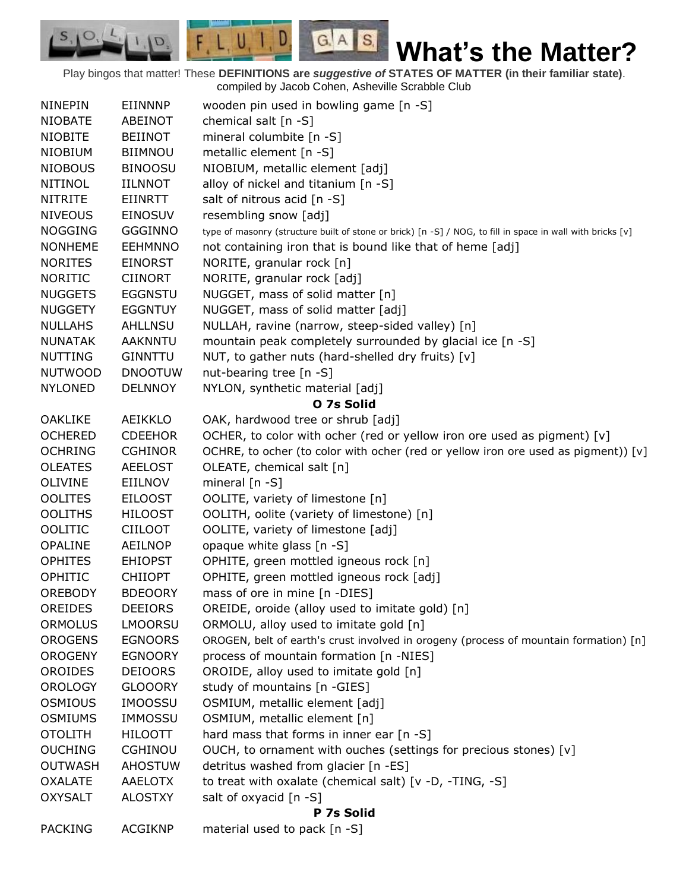Play bingos that matter! These **DEFINITIONS are** *suggestive of* **STATES OF MATTER (in their familiar state)**. compiled by Jacob Cohen, Asheville Scrabble Club

 $G.A.S.$ 

 $F, L, U, I, D$ 

D.

| <b>NINEPIN</b> | EIINNNP        | wooden pin used in bowling game [n -S]                                                                     |  |
|----------------|----------------|------------------------------------------------------------------------------------------------------------|--|
| <b>NIOBATE</b> | ABEINOT        | chemical salt $[n -S]$                                                                                     |  |
| <b>NIOBITE</b> | <b>BEIINOT</b> | mineral columbite [n -S]                                                                                   |  |
| <b>NIOBIUM</b> | <b>BIIMNOU</b> | metallic element [n -S]                                                                                    |  |
| <b>NIOBOUS</b> | <b>BINOOSU</b> | NIOBIUM, metallic element [adj]                                                                            |  |
| <b>NITINOL</b> | <b>IILNNOT</b> | alloy of nickel and titanium [n -S]                                                                        |  |
| <b>NITRITE</b> | EIINRTT        | salt of nitrous acid [n -S]                                                                                |  |
| <b>NIVEOUS</b> | <b>EINOSUV</b> | resembling snow [adj]                                                                                      |  |
| <b>NOGGING</b> | <b>GGGINNO</b> | type of masonry (structure built of stone or brick) [n -S] / NOG, to fill in space in wall with bricks [v] |  |
| <b>NONHEME</b> | <b>EEHMNNO</b> | not containing iron that is bound like that of heme [adj]                                                  |  |
| <b>NORITES</b> | <b>EINORST</b> | NORITE, granular rock [n]                                                                                  |  |
| <b>NORITIC</b> | <b>CIINORT</b> | NORITE, granular rock [adj]                                                                                |  |
| <b>NUGGETS</b> | <b>EGGNSTU</b> | NUGGET, mass of solid matter [n]                                                                           |  |
| <b>NUGGETY</b> | <b>EGGNTUY</b> | NUGGET, mass of solid matter [adj]                                                                         |  |
| <b>NULLAHS</b> | <b>AHLLNSU</b> | NULLAH, ravine (narrow, steep-sided valley) [n]                                                            |  |
| <b>NUNATAK</b> | <b>AAKNNTU</b> | mountain peak completely surrounded by glacial ice [n -S]                                                  |  |
| <b>NUTTING</b> | <b>GINNTTU</b> | NUT, to gather nuts (hard-shelled dry fruits) [v]                                                          |  |
| <b>NUTWOOD</b> | <b>DNOOTUW</b> | nut-bearing tree [n -S]                                                                                    |  |
| <b>NYLONED</b> | <b>DELNNOY</b> | NYLON, synthetic material [adj]                                                                            |  |
|                |                | O 7s Solid                                                                                                 |  |
| <b>OAKLIKE</b> | <b>AEIKKLO</b> | OAK, hardwood tree or shrub [adj]                                                                          |  |
| <b>OCHERED</b> | <b>CDEEHOR</b> | OCHER, to color with ocher (red or yellow iron ore used as pigment) $[v]$                                  |  |
| <b>OCHRING</b> | <b>CGHINOR</b> | OCHRE, to ocher (to color with ocher (red or yellow iron ore used as pigment)) [ $v$ ]                     |  |
| <b>OLEATES</b> | <b>AEELOST</b> | OLEATE, chemical salt [n]                                                                                  |  |
| <b>OLIVINE</b> | EIILNOV        | mineral $[n - S]$                                                                                          |  |
| <b>OOLITES</b> | <b>EILOOST</b> | OOLITE, variety of limestone [n]                                                                           |  |
| <b>OOLITHS</b> | <b>HILOOST</b> | OOLITH, oolite (variety of limestone) [n]                                                                  |  |
| <b>OOLITIC</b> | <b>CIILOOT</b> | OOLITE, variety of limestone [adj]                                                                         |  |
| <b>OPALINE</b> | <b>AEILNOP</b> | opaque white glass [n -S]                                                                                  |  |
| <b>OPHITES</b> | <b>EHIOPST</b> | OPHITE, green mottled igneous rock [n]                                                                     |  |
| OPHITIC        | <b>CHIIOPT</b> | OPHITE, green mottled igneous rock [adj]                                                                   |  |
| <b>OREBODY</b> | <b>BDEOORY</b> | mass of ore in mine [n -DIES]                                                                              |  |
| OREIDES        | <b>DEEIORS</b> | OREIDE, oroide (alloy used to imitate gold) [n]                                                            |  |
| <b>ORMOLUS</b> | <b>LMOORSU</b> | ORMOLU, alloy used to imitate gold [n]                                                                     |  |
| <b>OROGENS</b> | <b>EGNOORS</b> | OROGEN, belt of earth's crust involved in orogeny (process of mountain formation) [n]                      |  |
| <b>OROGENY</b> | <b>EGNOORY</b> | process of mountain formation [n -NIES]                                                                    |  |
| <b>OROIDES</b> | <b>DEIOORS</b> | OROIDE, alloy used to imitate gold [n]                                                                     |  |
| <b>OROLOGY</b> | <b>GLOOORY</b> | study of mountains [n -GIES]                                                                               |  |
| <b>OSMIOUS</b> | <b>IMOOSSU</b> | OSMIUM, metallic element [adj]                                                                             |  |
| <b>OSMIUMS</b> | <b>IMMOSSU</b> | OSMIUM, metallic element [n]                                                                               |  |
| <b>OTOLITH</b> | <b>HILOOTT</b> | hard mass that forms in inner ear [n -S]                                                                   |  |
| <b>OUCHING</b> | <b>CGHINOU</b> | OUCH, to ornament with ouches (settings for precious stones) [v]                                           |  |
| <b>OUTWASH</b> | <b>AHOSTUW</b> | detritus washed from glacier [n -ES]                                                                       |  |
| <b>OXALATE</b> | <b>AAELOTX</b> | to treat with oxalate (chemical salt) [v -D, -TING, -S]                                                    |  |
| <b>OXYSALT</b> | <b>ALOSTXY</b> | salt of oxyacid [n -S]                                                                                     |  |
|                |                | P 7s Solid                                                                                                 |  |
| <b>PACKING</b> | <b>ACGIKNP</b> | material used to pack [n -S]                                                                               |  |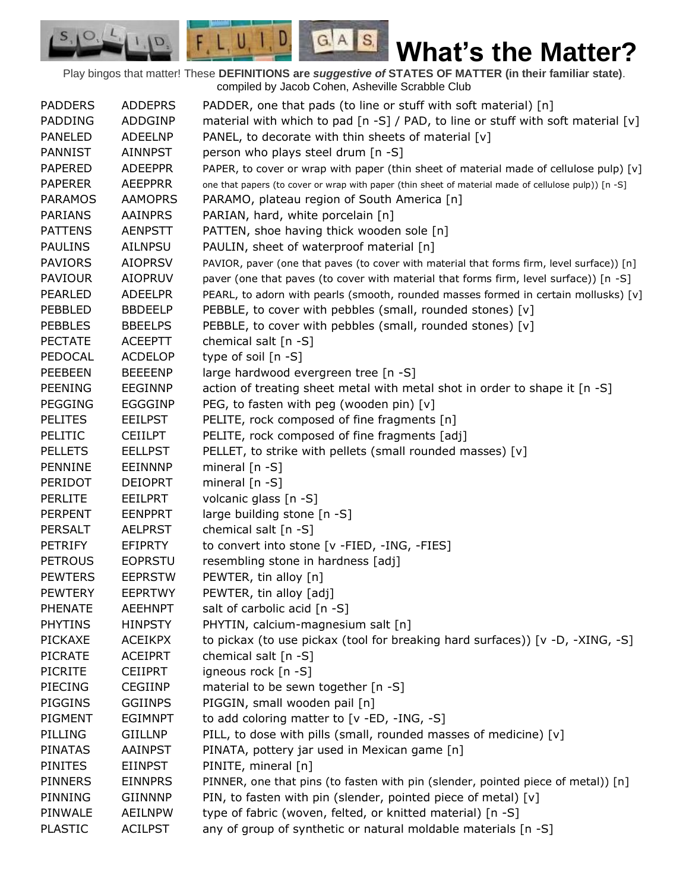Play bingos that matter! These **DEFINITIONS are** *suggestive of* **STATES OF MATTER (in their familiar state)**. compiled by Jacob Cohen, Asheville Scrabble Club

 $G.A.S.$ 

 $F, L, U, I, D$ 

D.

| <b>PADDERS</b> | <b>ADDEPRS</b> | PADDER, one that pads (to line or stuff with soft material) [n]                                      |
|----------------|----------------|------------------------------------------------------------------------------------------------------|
| <b>PADDING</b> | ADDGINP        | material with which to pad [n -S] / PAD, to line or stuff with soft material [v]                     |
| <b>PANELED</b> | <b>ADEELNP</b> | PANEL, to decorate with thin sheets of material [v]                                                  |
| <b>PANNIST</b> | <b>AINNPST</b> | person who plays steel drum [n -S]                                                                   |
| <b>PAPERED</b> | <b>ADEEPPR</b> | PAPER, to cover or wrap with paper (thin sheet of material made of cellulose pulp) [v]               |
| <b>PAPERER</b> | <b>AEEPPRR</b> | one that papers (to cover or wrap with paper (thin sheet of material made of cellulose pulp)) [n -S] |
| <b>PARAMOS</b> | <b>AAMOPRS</b> | PARAMO, plateau region of South America [n]                                                          |
| <b>PARIANS</b> | AAINPRS        | PARIAN, hard, white porcelain [n]                                                                    |
| <b>PATTENS</b> | <b>AENPSTT</b> | PATTEN, shoe having thick wooden sole [n]                                                            |
| <b>PAULINS</b> | <b>AILNPSU</b> | PAULIN, sheet of waterproof material [n]                                                             |
| <b>PAVIORS</b> | <b>AIOPRSV</b> | PAVIOR, paver (one that paves (to cover with material that forms firm, level surface)) [n]           |
| <b>PAVIOUR</b> | <b>AIOPRUV</b> | paver (one that paves (to cover with material that forms firm, level surface)) [n -S]                |
| <b>PEARLED</b> | <b>ADEELPR</b> | PEARL, to adorn with pearls (smooth, rounded masses formed in certain mollusks) [v]                  |
| PEBBLED        | <b>BBDEELP</b> | PEBBLE, to cover with pebbles (small, rounded stones) [v]                                            |
| <b>PEBBLES</b> | <b>BBEELPS</b> | PEBBLE, to cover with pebbles (small, rounded stones) [v]                                            |
| <b>PECTATE</b> | <b>ACEEPTT</b> | chemical salt $[n -S]$                                                                               |
| PEDOCAL        | <b>ACDELOP</b> | type of soil [n -S]                                                                                  |
| <b>PEEBEEN</b> | <b>BEEEENP</b> | large hardwood evergreen tree [n -S]                                                                 |
| <b>PEENING</b> | <b>EEGINNP</b> | action of treating sheet metal with metal shot in order to shape it [n -S]                           |
| <b>PEGGING</b> | <b>EGGGINP</b> | PEG, to fasten with peg (wooden pin) [v]                                                             |
| <b>PELITES</b> | <b>EEILPST</b> | PELITE, rock composed of fine fragments [n]                                                          |
| PELITIC        | <b>CEIILPT</b> | PELITE, rock composed of fine fragments [adj]                                                        |
| <b>PELLETS</b> | <b>EELLPST</b> | PELLET, to strike with pellets (small rounded masses) [v]                                            |
| PENNINE        | <b>EEINNNP</b> | mineral $[n - S]$                                                                                    |
| PERIDOT        | <b>DEIOPRT</b> | mineral [n -S]                                                                                       |
| <b>PERLITE</b> | <b>EEILPRT</b> | volcanic glass [n -S]                                                                                |
| <b>PERPENT</b> | <b>EENPPRT</b> | large building stone [n -S]                                                                          |
| <b>PERSALT</b> | <b>AELPRST</b> | chemical salt [n -S]                                                                                 |
| <b>PETRIFY</b> | EFIPRTY        | to convert into stone [v -FIED, -ING, -FIES]                                                         |
| <b>PETROUS</b> | <b>EOPRSTU</b> | resembling stone in hardness [adj]                                                                   |
| <b>PEWTERS</b> | <b>EEPRSTW</b> | PEWTER, tin alloy [n]                                                                                |
| <b>PEWTERY</b> | <b>EEPRTWY</b> | PEWTER, tin alloy [adj]                                                                              |
| <b>PHENATE</b> | <b>AEEHNPT</b> | salt of carbolic acid [n -S]                                                                         |
| <b>PHYTINS</b> | <b>HINPSTY</b> | PHYTIN, calcium-magnesium salt [n]                                                                   |
| <b>PICKAXE</b> | <b>ACEIKPX</b> | to pickax (to use pickax (tool for breaking hard surfaces)) [v -D, -XING, -S]                        |
| <b>PICRATE</b> | <b>ACEIPRT</b> | chemical salt [n -S]                                                                                 |
| <b>PICRITE</b> | <b>CEIIPRT</b> | igneous rock [n -S]                                                                                  |
| <b>PIECING</b> | <b>CEGIINP</b> | material to be sewn together [n -S]                                                                  |
| PIGGINS        | <b>GGIINPS</b> | PIGGIN, small wooden pail [n]                                                                        |
| PIGMENT        | <b>EGIMNPT</b> | to add coloring matter to [v -ED, -ING, -S]                                                          |
| PILLING        | GIILLNP        | PILL, to dose with pills (small, rounded masses of medicine) [v]                                     |
| <b>PINATAS</b> | AAINPST        | PINATA, pottery jar used in Mexican game [n]                                                         |
| <b>PINITES</b> | <b>EIINPST</b> | PINITE, mineral [n]                                                                                  |
| <b>PINNERS</b> | <b>EINNPRS</b> | PINNER, one that pins (to fasten with pin (slender, pointed piece of metal)) [n]                     |
| PINNING        | <b>GIINNNP</b> | PIN, to fasten with pin (slender, pointed piece of metal) [v]                                        |
| PINWALE        | <b>AEILNPW</b> | type of fabric (woven, felted, or knitted material) [n -S]                                           |
| <b>PLASTIC</b> | <b>ACILPST</b> | any of group of synthetic or natural moldable materials [n -S]                                       |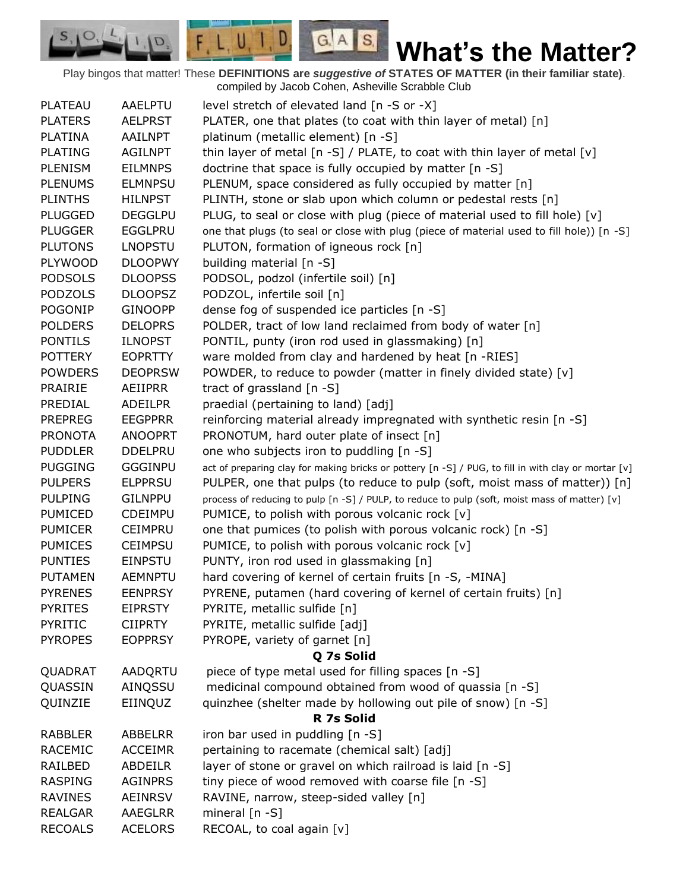Play bingos that matter! These **DEFINITIONS are** *suggestive of* **STATES OF MATTER (in their familiar state)**. compiled by Jacob Cohen, Asheville Scrabble Club

 $G.A.S.$ 

 $\Box$ 

 $F, L, U, I$ 

D.

| <b>PLATEAU</b> | AAELPTU        | level stretch of elevated land [n -S or -X]                                                         |  |  |  |
|----------------|----------------|-----------------------------------------------------------------------------------------------------|--|--|--|
| <b>PLATERS</b> | <b>AELPRST</b> | PLATER, one that plates (to coat with thin layer of metal) [n]                                      |  |  |  |
| <b>PLATINA</b> | AAILNPT        | platinum (metallic element) [n -S]                                                                  |  |  |  |
| <b>PLATING</b> | <b>AGILNPT</b> | thin layer of metal $[n -S]$ / PLATE, to coat with thin layer of metal $[v]$                        |  |  |  |
| <b>PLENISM</b> | <b>EILMNPS</b> | doctrine that space is fully occupied by matter [n -S]                                              |  |  |  |
| <b>PLENUMS</b> | <b>ELMNPSU</b> | PLENUM, space considered as fully occupied by matter [n]                                            |  |  |  |
| <b>PLINTHS</b> | <b>HILNPST</b> | PLINTH, stone or slab upon which column or pedestal rests [n]                                       |  |  |  |
| <b>PLUGGED</b> | <b>DEGGLPU</b> | PLUG, to seal or close with plug (piece of material used to fill hole) [v]                          |  |  |  |
| <b>PLUGGER</b> | <b>EGGLPRU</b> | one that plugs (to seal or close with plug (piece of material used to fill hole)) [n -S]            |  |  |  |
| <b>PLUTONS</b> | <b>LNOPSTU</b> | PLUTON, formation of igneous rock [n]                                                               |  |  |  |
| <b>PLYWOOD</b> | <b>DLOOPWY</b> | building material [n -S]                                                                            |  |  |  |
| <b>PODSOLS</b> | <b>DLOOPSS</b> | PODSOL, podzol (infertile soil) [n]                                                                 |  |  |  |
| <b>PODZOLS</b> | <b>DLOOPSZ</b> | PODZOL, infertile soil [n]                                                                          |  |  |  |
| <b>POGONIP</b> | <b>GINOOPP</b> | dense fog of suspended ice particles [n -S]                                                         |  |  |  |
| <b>POLDERS</b> | <b>DELOPRS</b> | POLDER, tract of low land reclaimed from body of water [n]                                          |  |  |  |
| <b>PONTILS</b> | <b>ILNOPST</b> | PONTIL, punty (iron rod used in glassmaking) [n]                                                    |  |  |  |
| <b>POTTERY</b> | <b>EOPRTTY</b> | ware molded from clay and hardened by heat [n -RIES]                                                |  |  |  |
| <b>POWDERS</b> | <b>DEOPRSW</b> | POWDER, to reduce to powder (matter in finely divided state) [v]                                    |  |  |  |
| <b>PRAIRIE</b> | AEIIPRR        | tract of grassland [n -S]                                                                           |  |  |  |
| PREDIAL        | <b>ADEILPR</b> | praedial (pertaining to land) [adj]                                                                 |  |  |  |
| <b>PREPREG</b> | <b>EEGPPRR</b> | reinforcing material already impregnated with synthetic resin [n -S]                                |  |  |  |
| <b>PRONOTA</b> | <b>ANOOPRT</b> | PRONOTUM, hard outer plate of insect [n]                                                            |  |  |  |
| <b>PUDDLER</b> | <b>DDELPRU</b> | one who subjects iron to puddling [n -S]                                                            |  |  |  |
| <b>PUGGING</b> | <b>GGGINPU</b> | act of preparing clay for making bricks or pottery [n -S] / PUG, to fill in with clay or mortar [v] |  |  |  |
| <b>PULPERS</b> | <b>ELPPRSU</b> | PULPER, one that pulps (to reduce to pulp (soft, moist mass of matter)) [n]                         |  |  |  |
| <b>PULPING</b> | <b>GILNPPU</b> | process of reducing to pulp [n -S] / PULP, to reduce to pulp (soft, moist mass of matter) [v]       |  |  |  |
| <b>PUMICED</b> | <b>CDEIMPU</b> | PUMICE, to polish with porous volcanic rock [v]                                                     |  |  |  |
| <b>PUMICER</b> | <b>CEIMPRU</b> | one that pumices (to polish with porous volcanic rock) [n -S]                                       |  |  |  |
| <b>PUMICES</b> | <b>CEIMPSU</b> | PUMICE, to polish with porous volcanic rock [v]                                                     |  |  |  |
| <b>PUNTIES</b> | EINPSTU        | PUNTY, iron rod used in glassmaking [n]                                                             |  |  |  |
| <b>PUTAMEN</b> | <b>AEMNPTU</b> | hard covering of kernel of certain fruits [n -S, -MINA]                                             |  |  |  |
| <b>PYRENES</b> | <b>EENPRSY</b> | PYRENE, putamen (hard covering of kernel of certain fruits) [n]                                     |  |  |  |
| <b>PYRITES</b> | <b>EIPRSTY</b> | PYRITE, metallic sulfide [n]                                                                        |  |  |  |
| <b>PYRITIC</b> | <b>CIIPRTY</b> | PYRITE, metallic sulfide [adj]                                                                      |  |  |  |
| <b>PYROPES</b> | <b>EOPPRSY</b> | PYROPE, variety of garnet [n]                                                                       |  |  |  |
|                | Q 7s Solid     |                                                                                                     |  |  |  |
| QUADRAT        | <b>AADQRTU</b> | piece of type metal used for filling spaces [n -S]                                                  |  |  |  |
| QUASSIN        | AINQSSU        | medicinal compound obtained from wood of quassia [n -S]                                             |  |  |  |
| QUINZIE        | EIINQUZ        | quinzhee (shelter made by hollowing out pile of snow) [n -S]                                        |  |  |  |
|                |                | R 7s Solid                                                                                          |  |  |  |
| <b>RABBLER</b> | <b>ABBELRR</b> | iron bar used in puddling [n -S]                                                                    |  |  |  |
| <b>RACEMIC</b> | <b>ACCEIMR</b> | pertaining to racemate (chemical salt) [adj]                                                        |  |  |  |
| RAILBED        | ABDEILR        | layer of stone or gravel on which railroad is laid [n -S]                                           |  |  |  |
| <b>RASPING</b> | <b>AGINPRS</b> | tiny piece of wood removed with coarse file [n -S]                                                  |  |  |  |
| <b>RAVINES</b> | AEINRSV        | RAVINE, narrow, steep-sided valley [n]                                                              |  |  |  |
| <b>REALGAR</b> | AAEGLRR        | mineral $[n - S]$                                                                                   |  |  |  |
| <b>RECOALS</b> | <b>ACELORS</b> | RECOAL, to coal again [v]                                                                           |  |  |  |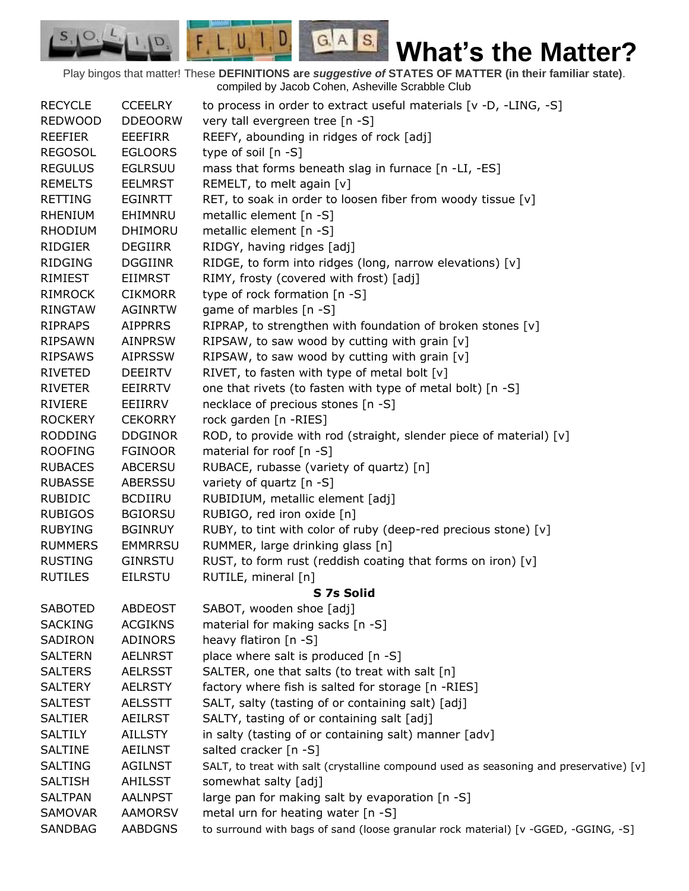Play bingos that matter! These **DEFINITIONS are** *suggestive of* **STATES OF MATTER (in their familiar state)**. compiled by Jacob Cohen, Asheville Scrabble Club

 $G.A.S.$ 

 $F, L, U, I, D$ 

D.

 $S, \mathbf{O}$ 

| <b>RECYCLE</b> | <b>CCEELRY</b> | to process in order to extract useful materials [v -D, -LING, -S]                      |
|----------------|----------------|----------------------------------------------------------------------------------------|
| <b>REDWOOD</b> | <b>DDEOORW</b> | very tall evergreen tree [n -S]                                                        |
| <b>REEFIER</b> | <b>EEEFIRR</b> | REEFY, abounding in ridges of rock [adj]                                               |
| <b>REGOSOL</b> | <b>EGLOORS</b> | type of soil [n -S]                                                                    |
| <b>REGULUS</b> | <b>EGLRSUU</b> | mass that forms beneath slag in furnace [n -LI, -ES]                                   |
| <b>REMELTS</b> | <b>EELMRST</b> | REMELT, to melt again [v]                                                              |
| <b>RETTING</b> | EGINRTT        | RET, to soak in order to loosen fiber from woody tissue [v]                            |
| <b>RHENIUM</b> | EHIMNRU        | metallic element [n -S]                                                                |
| <b>RHODIUM</b> | <b>DHIMORU</b> | metallic element [n -S]                                                                |
| <b>RIDGIER</b> | <b>DEGIIRR</b> | RIDGY, having ridges [adj]                                                             |
| <b>RIDGING</b> | <b>DGGIINR</b> | RIDGE, to form into ridges (long, narrow elevations) [v]                               |
| RIMIEST        | <b>EIIMRST</b> | RIMY, frosty (covered with frost) [adj]                                                |
| <b>RIMROCK</b> | <b>CIKMORR</b> | type of rock formation [n -S]                                                          |
| <b>RINGTAW</b> | AGINRTW        | game of marbles [n -S]                                                                 |
| <b>RIPRAPS</b> | <b>AIPPRRS</b> | RIPRAP, to strengthen with foundation of broken stones [v]                             |
| <b>RIPSAWN</b> | <b>AINPRSW</b> | RIPSAW, to saw wood by cutting with grain [v]                                          |
| <b>RIPSAWS</b> | <b>AIPRSSW</b> | RIPSAW, to saw wood by cutting with grain [v]                                          |
| <b>RIVETED</b> | <b>DEEIRTV</b> | RIVET, to fasten with type of metal bolt [v]                                           |
| <b>RIVETER</b> | <b>EEIRRTV</b> | one that rivets (to fasten with type of metal bolt) [n -S]                             |
| <b>RIVIERE</b> | EEIIRRV        | necklace of precious stones [n -S]                                                     |
| <b>ROCKERY</b> | <b>CEKORRY</b> | rock garden [n -RIES]                                                                  |
| <b>RODDING</b> | <b>DDGINOR</b> | ROD, to provide with rod (straight, slender piece of material) [v]                     |
| <b>ROOFING</b> | <b>FGINOOR</b> | material for roof [n -S]                                                               |
| <b>RUBACES</b> | <b>ABCERSU</b> | RUBACE, rubasse (variety of quartz) [n]                                                |
| <b>RUBASSE</b> | ABERSSU        | variety of quartz [n -S]                                                               |
| <b>RUBIDIC</b> | <b>BCDIIRU</b> | RUBIDIUM, metallic element [adj]                                                       |
| <b>RUBIGOS</b> | <b>BGIORSU</b> | RUBIGO, red iron oxide [n]                                                             |
| <b>RUBYING</b> | <b>BGINRUY</b> | RUBY, to tint with color of ruby (deep-red precious stone) [v]                         |
| <b>RUMMERS</b> | <b>EMMRRSU</b> | RUMMER, large drinking glass [n]                                                       |
| <b>RUSTING</b> | <b>GINRSTU</b> | RUST, to form rust (reddish coating that forms on iron) [v]                            |
| <b>RUTILES</b> | <b>EILRSTU</b> | RUTILE, mineral [n]                                                                    |
|                |                | S 7s Solid                                                                             |
| <b>SABOTED</b> | <b>ABDEOST</b> | SABOT, wooden shoe [adj]                                                               |
| <b>SACKING</b> | <b>ACGIKNS</b> | material for making sacks [n -S]                                                       |
| SADIRON        | <b>ADINORS</b> | heavy flatiron [n -S]                                                                  |
| <b>SALTERN</b> | <b>AELNRST</b> | place where salt is produced [n -S]                                                    |
| <b>SALTERS</b> | <b>AELRSST</b> | SALTER, one that salts (to treat with salt [n]                                         |
| <b>SALTERY</b> | <b>AELRSTY</b> | factory where fish is salted for storage [n -RIES]                                     |
| <b>SALTEST</b> | <b>AELSSTT</b> | SALT, salty (tasting of or containing salt) [adj]                                      |
| <b>SALTIER</b> | <b>AEILRST</b> | SALTY, tasting of or containing salt [adj]                                             |
| <b>SALTILY</b> | AILLSTY        | in salty (tasting of or containing salt) manner [adv]                                  |
| <b>SALTINE</b> | <b>AEILNST</b> | salted cracker [n -S]                                                                  |
| <b>SALTING</b> | <b>AGILNST</b> | SALT, to treat with salt (crystalline compound used as seasoning and preservative) [v] |
| <b>SALTISH</b> | <b>AHILSST</b> | somewhat salty [adj]                                                                   |
| <b>SALTPAN</b> | <b>AALNPST</b> | large pan for making salt by evaporation [n -S]                                        |
| SAMOVAR        | <b>AAMORSV</b> | metal urn for heating water [n -S]                                                     |
| SANDBAG        | <b>AABDGNS</b> | to surround with bags of sand (loose granular rock material) [v -GGED, -GGING, -S]     |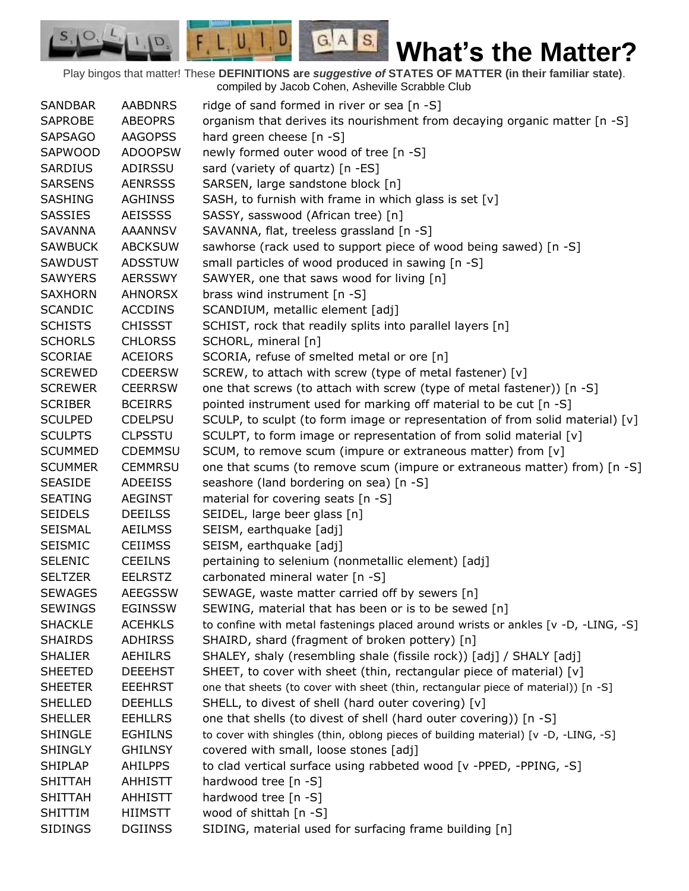Play bingos that matter! These **DEFINITIONS are** *suggestive of* **STATES OF MATTER (in their familiar state)**. compiled by Jacob Cohen, Asheville Scrabble Club

 $G.A.S.$ 

 $F, L, U, I, D$ 

D.

| <b>SANDBAR</b> | <b>AABDNRS</b> | ridge of sand formed in river or sea [n -S]                                         |
|----------------|----------------|-------------------------------------------------------------------------------------|
| <b>SAPROBE</b> | <b>ABEOPRS</b> | organism that derives its nourishment from decaying organic matter [n -S]           |
| <b>SAPSAGO</b> | <b>AAGOPSS</b> | hard green cheese [n -S]                                                            |
| SAPWOOD        | <b>ADOOPSW</b> | newly formed outer wood of tree [n -S]                                              |
| <b>SARDIUS</b> | ADIRSSU        | sard (variety of quartz) [n -ES]                                                    |
| <b>SARSENS</b> | <b>AENRSSS</b> | SARSEN, large sandstone block [n]                                                   |
| SASHING        | <b>AGHINSS</b> | SASH, to furnish with frame in which glass is set [v]                               |
| <b>SASSIES</b> | <b>AEISSSS</b> | SASSY, sasswood (African tree) [n]                                                  |
| <b>SAVANNA</b> | <b>AAANNSV</b> | SAVANNA, flat, treeless grassland [n -S]                                            |
| <b>SAWBUCK</b> | <b>ABCKSUW</b> | sawhorse (rack used to support piece of wood being sawed) [n -S]                    |
| SAWDUST        | <b>ADSSTUW</b> | small particles of wood produced in sawing [n -S]                                   |
| <b>SAWYERS</b> | <b>AERSSWY</b> | SAWYER, one that saws wood for living [n]                                           |
| <b>SAXHORN</b> | <b>AHNORSX</b> | brass wind instrument [n -S]                                                        |
| <b>SCANDIC</b> | <b>ACCDINS</b> | SCANDIUM, metallic element [adj]                                                    |
| <b>SCHISTS</b> | <b>CHISSST</b> | SCHIST, rock that readily splits into parallel layers [n]                           |
| <b>SCHORLS</b> | <b>CHLORSS</b> | SCHORL, mineral [n]                                                                 |
| <b>SCORIAE</b> | <b>ACEIORS</b> | SCORIA, refuse of smelted metal or ore [n]                                          |
| <b>SCREWED</b> | <b>CDEERSW</b> | SCREW, to attach with screw (type of metal fastener) [v]                            |
| <b>SCREWER</b> | <b>CEERRSW</b> | one that screws (to attach with screw (type of metal fastener)) [n -S]              |
| <b>SCRIBER</b> | <b>BCEIRRS</b> | pointed instrument used for marking off material to be cut [n -S]                   |
| <b>SCULPED</b> | <b>CDELPSU</b> | SCULP, to sculpt (to form image or representation of from solid material) [v]       |
| <b>SCULPTS</b> | <b>CLPSSTU</b> | SCULPT, to form image or representation of from solid material [v]                  |
| <b>SCUMMED</b> | <b>CDEMMSU</b> | SCUM, to remove scum (impure or extraneous matter) from [v]                         |
| <b>SCUMMER</b> | <b>CEMMRSU</b> | one that scums (to remove scum (impure or extraneous matter) from) [n -S]           |
| <b>SEASIDE</b> | <b>ADEEISS</b> | seashore (land bordering on sea) [n -S]                                             |
| <b>SEATING</b> | <b>AEGINST</b> | material for covering seats [n -S]                                                  |
| <b>SEIDELS</b> | <b>DEEILSS</b> | SEIDEL, large beer glass [n]                                                        |
| <b>SEISMAL</b> | <b>AEILMSS</b> | SEISM, earthquake [adj]                                                             |
| <b>SEISMIC</b> | <b>CEIIMSS</b> | SEISM, earthquake [adj]                                                             |
| <b>SELENIC</b> | <b>CEEILNS</b> | pertaining to selenium (nonmetallic element) [adj]                                  |
| <b>SELTZER</b> | <b>EELRSTZ</b> | carbonated mineral water [n -S]                                                     |
| <b>SEWAGES</b> | <b>AEEGSSW</b> | SEWAGE, waste matter carried off by sewers [n]                                      |
| <b>SEWINGS</b> | <b>EGINSSW</b> | SEWING, material that has been or is to be sewed [n]                                |
| <b>SHACKLE</b> | <b>ACEHKLS</b> | to confine with metal fastenings placed around wrists or ankles [v -D, -LING, -S]   |
| <b>SHAIRDS</b> | <b>ADHIRSS</b> | SHAIRD, shard (fragment of broken pottery) [n]                                      |
| <b>SHALIER</b> | <b>AEHILRS</b> | SHALEY, shaly (resembling shale (fissile rock)) [adj] / SHALY [adj]                 |
| <b>SHEETED</b> | <b>DEEEHST</b> | SHEET, to cover with sheet (thin, rectangular piece of material) [v]                |
| <b>SHEETER</b> | <b>EEEHRST</b> | one that sheets (to cover with sheet (thin, rectangular piece of material)) [n -S]  |
| <b>SHELLED</b> | <b>DEEHLLS</b> | SHELL, to divest of shell (hard outer covering) [v]                                 |
| <b>SHELLER</b> | <b>EEHLLRS</b> | one that shells (to divest of shell (hard outer covering)) [n -S]                   |
| <b>SHINGLE</b> | <b>EGHILNS</b> | to cover with shingles (thin, oblong pieces of building material) [v -D, -LING, -S] |
| <b>SHINGLY</b> | <b>GHILNSY</b> | covered with small, loose stones [adj]                                              |
| <b>SHIPLAP</b> | <b>AHILPPS</b> | to clad vertical surface using rabbeted wood [v -PPED, -PPING, -S]                  |
| <b>SHITTAH</b> | <b>AHHISTT</b> | hardwood tree [n -S]                                                                |
| <b>SHITTAH</b> | <b>AHHISTT</b> | hardwood tree [n -S]                                                                |
| SHITTIM        | <b>HIIMSTT</b> | wood of shittah [n -S]                                                              |
| <b>SIDINGS</b> | <b>DGIINSS</b> | SIDING, material used for surfacing frame building [n]                              |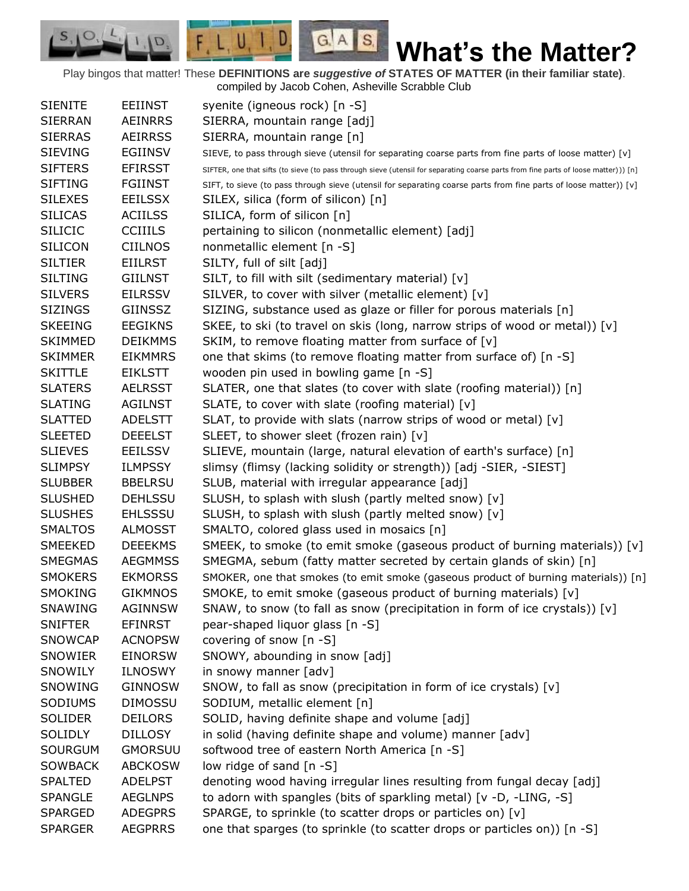Play bingos that matter! These **DEFINITIONS are** *suggestive of* **STATES OF MATTER (in their familiar state)**. compiled by Jacob Cohen, Asheville Scrabble Club

 $G.A.S.$ 

 $F, L, U, I, D$ 

D.

| <b>EEIINST</b><br>syenite (igneous rock) [n -S]<br><b>SIENITE</b><br>SIERRA, mountain range [adj]<br><b>SIERRAN</b><br><b>AEINRRS</b><br><b>SIERRAS</b><br><b>AEIRRSS</b><br>SIERRA, mountain range [n]<br><b>SIEVING</b><br>EGIINSV<br>SIEVE, to pass through sieve (utensil for separating coarse parts from fine parts of loose matter) [v]<br><b>SIFTERS</b><br><b>EFIRSST</b><br>SIFTER, one that sifts (to sieve (to pass through sieve (utensil for separating coarse parts from fine parts of loose matter))) [n]<br><b>SIFTING</b><br><b>FGIINST</b><br>SIFT, to sieve (to pass through sieve (utensil for separating coarse parts from fine parts of loose matter)) [v]<br><b>SILEXES</b><br><b>EEILSSX</b><br>SILEX, silica (form of silicon) [n]<br><b>SILICAS</b><br><b>ACIILSS</b><br>SILICA, form of silicon [n]<br><b>SILICIC</b><br><b>CCIIILS</b><br>pertaining to silicon (nonmetallic element) [adj]<br>nonmetallic element [n -S]<br><b>SILICON</b><br><b>CIILNOS</b><br><b>SILTIER</b><br><b>EIILRST</b><br>SILTY, full of silt [adj]<br><b>SILTING</b><br><b>GIILNST</b><br>SILT, to fill with silt (sedimentary material) [v]<br><b>SILVERS</b><br><b>EILRSSV</b><br>SILVER, to cover with silver (metallic element) [v]<br><b>SIZINGS</b><br>SIZING, substance used as glaze or filler for porous materials [n]<br>GIINSSZ<br><b>EEGIKNS</b><br>SKEE, to ski (to travel on skis (long, narrow strips of wood or metal)) [v]<br><b>SKEEING</b><br>SKIM, to remove floating matter from surface of [v]<br><b>SKIMMED</b><br><b>DEIKMMS</b><br>one that skims (to remove floating matter from surface of) [n -S]<br><b>SKIMMER</b><br><b>EIKMMRS</b><br><b>SKITTLE</b><br>wooden pin used in bowling game [n -S]<br><b>EIKLSTT</b><br>SLATER, one that slates (to cover with slate (roofing material)) [n]<br><b>SLATERS</b><br><b>AELRSST</b><br>SLATE, to cover with slate (roofing material) [v]<br><b>SLATING</b><br><b>AGILNST</b><br>SLAT, to provide with slats (narrow strips of wood or metal) [v]<br><b>SLATTED</b><br><b>ADELSTT</b><br><b>SLEETED</b><br><b>DEEELST</b><br>SLEET, to shower sleet (frozen rain) [v]<br>SLIEVE, mountain (large, natural elevation of earth's surface) [n]<br><b>SLIEVES</b><br><b>EEILSSV</b><br><b>SLIMPSY</b><br><b>ILMPSSY</b><br>slimsy (flimsy (lacking solidity or strength)) [adj -SIER, -SIEST]<br><b>SLUBBER</b><br>SLUB, material with irregular appearance [adj]<br><b>BBELRSU</b><br>SLUSH, to splash with slush (partly melted snow) [v]<br><b>SLUSHED</b><br><b>DEHLSSU</b><br>SLUSH, to splash with slush (partly melted snow) [v]<br><b>SLUSHES</b><br><b>EHLSSSU</b><br><b>SMALTOS</b><br><b>ALMOSST</b><br>SMALTO, colored glass used in mosaics [n]<br>SMEEKED<br><b>DEEEKMS</b><br>SMEEK, to smoke (to emit smoke (gaseous product of burning materials)) $[v]$<br>SMEGMA, sebum (fatty matter secreted by certain glands of skin) [n]<br><b>SMEGMAS</b><br><b>AEGMMSS</b><br><b>SMOKERS</b><br><b>EKMORSS</b><br>SMOKER, one that smokes (to emit smoke (gaseous product of burning materials)) [n] |
|--------------------------------------------------------------------------------------------------------------------------------------------------------------------------------------------------------------------------------------------------------------------------------------------------------------------------------------------------------------------------------------------------------------------------------------------------------------------------------------------------------------------------------------------------------------------------------------------------------------------------------------------------------------------------------------------------------------------------------------------------------------------------------------------------------------------------------------------------------------------------------------------------------------------------------------------------------------------------------------------------------------------------------------------------------------------------------------------------------------------------------------------------------------------------------------------------------------------------------------------------------------------------------------------------------------------------------------------------------------------------------------------------------------------------------------------------------------------------------------------------------------------------------------------------------------------------------------------------------------------------------------------------------------------------------------------------------------------------------------------------------------------------------------------------------------------------------------------------------------------------------------------------------------------------------------------------------------------------------------------------------------------------------------------------------------------------------------------------------------------------------------------------------------------------------------------------------------------------------------------------------------------------------------------------------------------------------------------------------------------------------------------------------------------------------------------------------------------------------------------------------------------------------------------------------------------------------------------------------------------------------------------------------------------------------------------------------------------------------------------------------------------------------------------------------------------------------------------------------------------------------------------------------------------------------------------------------------------------------------------------------------------------------------------------------------------------------------------|
|                                                                                                                                                                                                                                                                                                                                                                                                                                                                                                                                                                                                                                                                                                                                                                                                                                                                                                                                                                                                                                                                                                                                                                                                                                                                                                                                                                                                                                                                                                                                                                                                                                                                                                                                                                                                                                                                                                                                                                                                                                                                                                                                                                                                                                                                                                                                                                                                                                                                                                                                                                                                                                                                                                                                                                                                                                                                                                                                                                                                                                                                                            |
|                                                                                                                                                                                                                                                                                                                                                                                                                                                                                                                                                                                                                                                                                                                                                                                                                                                                                                                                                                                                                                                                                                                                                                                                                                                                                                                                                                                                                                                                                                                                                                                                                                                                                                                                                                                                                                                                                                                                                                                                                                                                                                                                                                                                                                                                                                                                                                                                                                                                                                                                                                                                                                                                                                                                                                                                                                                                                                                                                                                                                                                                                            |
|                                                                                                                                                                                                                                                                                                                                                                                                                                                                                                                                                                                                                                                                                                                                                                                                                                                                                                                                                                                                                                                                                                                                                                                                                                                                                                                                                                                                                                                                                                                                                                                                                                                                                                                                                                                                                                                                                                                                                                                                                                                                                                                                                                                                                                                                                                                                                                                                                                                                                                                                                                                                                                                                                                                                                                                                                                                                                                                                                                                                                                                                                            |
|                                                                                                                                                                                                                                                                                                                                                                                                                                                                                                                                                                                                                                                                                                                                                                                                                                                                                                                                                                                                                                                                                                                                                                                                                                                                                                                                                                                                                                                                                                                                                                                                                                                                                                                                                                                                                                                                                                                                                                                                                                                                                                                                                                                                                                                                                                                                                                                                                                                                                                                                                                                                                                                                                                                                                                                                                                                                                                                                                                                                                                                                                            |
|                                                                                                                                                                                                                                                                                                                                                                                                                                                                                                                                                                                                                                                                                                                                                                                                                                                                                                                                                                                                                                                                                                                                                                                                                                                                                                                                                                                                                                                                                                                                                                                                                                                                                                                                                                                                                                                                                                                                                                                                                                                                                                                                                                                                                                                                                                                                                                                                                                                                                                                                                                                                                                                                                                                                                                                                                                                                                                                                                                                                                                                                                            |
|                                                                                                                                                                                                                                                                                                                                                                                                                                                                                                                                                                                                                                                                                                                                                                                                                                                                                                                                                                                                                                                                                                                                                                                                                                                                                                                                                                                                                                                                                                                                                                                                                                                                                                                                                                                                                                                                                                                                                                                                                                                                                                                                                                                                                                                                                                                                                                                                                                                                                                                                                                                                                                                                                                                                                                                                                                                                                                                                                                                                                                                                                            |
|                                                                                                                                                                                                                                                                                                                                                                                                                                                                                                                                                                                                                                                                                                                                                                                                                                                                                                                                                                                                                                                                                                                                                                                                                                                                                                                                                                                                                                                                                                                                                                                                                                                                                                                                                                                                                                                                                                                                                                                                                                                                                                                                                                                                                                                                                                                                                                                                                                                                                                                                                                                                                                                                                                                                                                                                                                                                                                                                                                                                                                                                                            |
|                                                                                                                                                                                                                                                                                                                                                                                                                                                                                                                                                                                                                                                                                                                                                                                                                                                                                                                                                                                                                                                                                                                                                                                                                                                                                                                                                                                                                                                                                                                                                                                                                                                                                                                                                                                                                                                                                                                                                                                                                                                                                                                                                                                                                                                                                                                                                                                                                                                                                                                                                                                                                                                                                                                                                                                                                                                                                                                                                                                                                                                                                            |
|                                                                                                                                                                                                                                                                                                                                                                                                                                                                                                                                                                                                                                                                                                                                                                                                                                                                                                                                                                                                                                                                                                                                                                                                                                                                                                                                                                                                                                                                                                                                                                                                                                                                                                                                                                                                                                                                                                                                                                                                                                                                                                                                                                                                                                                                                                                                                                                                                                                                                                                                                                                                                                                                                                                                                                                                                                                                                                                                                                                                                                                                                            |
|                                                                                                                                                                                                                                                                                                                                                                                                                                                                                                                                                                                                                                                                                                                                                                                                                                                                                                                                                                                                                                                                                                                                                                                                                                                                                                                                                                                                                                                                                                                                                                                                                                                                                                                                                                                                                                                                                                                                                                                                                                                                                                                                                                                                                                                                                                                                                                                                                                                                                                                                                                                                                                                                                                                                                                                                                                                                                                                                                                                                                                                                                            |
|                                                                                                                                                                                                                                                                                                                                                                                                                                                                                                                                                                                                                                                                                                                                                                                                                                                                                                                                                                                                                                                                                                                                                                                                                                                                                                                                                                                                                                                                                                                                                                                                                                                                                                                                                                                                                                                                                                                                                                                                                                                                                                                                                                                                                                                                                                                                                                                                                                                                                                                                                                                                                                                                                                                                                                                                                                                                                                                                                                                                                                                                                            |
|                                                                                                                                                                                                                                                                                                                                                                                                                                                                                                                                                                                                                                                                                                                                                                                                                                                                                                                                                                                                                                                                                                                                                                                                                                                                                                                                                                                                                                                                                                                                                                                                                                                                                                                                                                                                                                                                                                                                                                                                                                                                                                                                                                                                                                                                                                                                                                                                                                                                                                                                                                                                                                                                                                                                                                                                                                                                                                                                                                                                                                                                                            |
|                                                                                                                                                                                                                                                                                                                                                                                                                                                                                                                                                                                                                                                                                                                                                                                                                                                                                                                                                                                                                                                                                                                                                                                                                                                                                                                                                                                                                                                                                                                                                                                                                                                                                                                                                                                                                                                                                                                                                                                                                                                                                                                                                                                                                                                                                                                                                                                                                                                                                                                                                                                                                                                                                                                                                                                                                                                                                                                                                                                                                                                                                            |
|                                                                                                                                                                                                                                                                                                                                                                                                                                                                                                                                                                                                                                                                                                                                                                                                                                                                                                                                                                                                                                                                                                                                                                                                                                                                                                                                                                                                                                                                                                                                                                                                                                                                                                                                                                                                                                                                                                                                                                                                                                                                                                                                                                                                                                                                                                                                                                                                                                                                                                                                                                                                                                                                                                                                                                                                                                                                                                                                                                                                                                                                                            |
|                                                                                                                                                                                                                                                                                                                                                                                                                                                                                                                                                                                                                                                                                                                                                                                                                                                                                                                                                                                                                                                                                                                                                                                                                                                                                                                                                                                                                                                                                                                                                                                                                                                                                                                                                                                                                                                                                                                                                                                                                                                                                                                                                                                                                                                                                                                                                                                                                                                                                                                                                                                                                                                                                                                                                                                                                                                                                                                                                                                                                                                                                            |
|                                                                                                                                                                                                                                                                                                                                                                                                                                                                                                                                                                                                                                                                                                                                                                                                                                                                                                                                                                                                                                                                                                                                                                                                                                                                                                                                                                                                                                                                                                                                                                                                                                                                                                                                                                                                                                                                                                                                                                                                                                                                                                                                                                                                                                                                                                                                                                                                                                                                                                                                                                                                                                                                                                                                                                                                                                                                                                                                                                                                                                                                                            |
|                                                                                                                                                                                                                                                                                                                                                                                                                                                                                                                                                                                                                                                                                                                                                                                                                                                                                                                                                                                                                                                                                                                                                                                                                                                                                                                                                                                                                                                                                                                                                                                                                                                                                                                                                                                                                                                                                                                                                                                                                                                                                                                                                                                                                                                                                                                                                                                                                                                                                                                                                                                                                                                                                                                                                                                                                                                                                                                                                                                                                                                                                            |
|                                                                                                                                                                                                                                                                                                                                                                                                                                                                                                                                                                                                                                                                                                                                                                                                                                                                                                                                                                                                                                                                                                                                                                                                                                                                                                                                                                                                                                                                                                                                                                                                                                                                                                                                                                                                                                                                                                                                                                                                                                                                                                                                                                                                                                                                                                                                                                                                                                                                                                                                                                                                                                                                                                                                                                                                                                                                                                                                                                                                                                                                                            |
|                                                                                                                                                                                                                                                                                                                                                                                                                                                                                                                                                                                                                                                                                                                                                                                                                                                                                                                                                                                                                                                                                                                                                                                                                                                                                                                                                                                                                                                                                                                                                                                                                                                                                                                                                                                                                                                                                                                                                                                                                                                                                                                                                                                                                                                                                                                                                                                                                                                                                                                                                                                                                                                                                                                                                                                                                                                                                                                                                                                                                                                                                            |
|                                                                                                                                                                                                                                                                                                                                                                                                                                                                                                                                                                                                                                                                                                                                                                                                                                                                                                                                                                                                                                                                                                                                                                                                                                                                                                                                                                                                                                                                                                                                                                                                                                                                                                                                                                                                                                                                                                                                                                                                                                                                                                                                                                                                                                                                                                                                                                                                                                                                                                                                                                                                                                                                                                                                                                                                                                                                                                                                                                                                                                                                                            |
|                                                                                                                                                                                                                                                                                                                                                                                                                                                                                                                                                                                                                                                                                                                                                                                                                                                                                                                                                                                                                                                                                                                                                                                                                                                                                                                                                                                                                                                                                                                                                                                                                                                                                                                                                                                                                                                                                                                                                                                                                                                                                                                                                                                                                                                                                                                                                                                                                                                                                                                                                                                                                                                                                                                                                                                                                                                                                                                                                                                                                                                                                            |
|                                                                                                                                                                                                                                                                                                                                                                                                                                                                                                                                                                                                                                                                                                                                                                                                                                                                                                                                                                                                                                                                                                                                                                                                                                                                                                                                                                                                                                                                                                                                                                                                                                                                                                                                                                                                                                                                                                                                                                                                                                                                                                                                                                                                                                                                                                                                                                                                                                                                                                                                                                                                                                                                                                                                                                                                                                                                                                                                                                                                                                                                                            |
|                                                                                                                                                                                                                                                                                                                                                                                                                                                                                                                                                                                                                                                                                                                                                                                                                                                                                                                                                                                                                                                                                                                                                                                                                                                                                                                                                                                                                                                                                                                                                                                                                                                                                                                                                                                                                                                                                                                                                                                                                                                                                                                                                                                                                                                                                                                                                                                                                                                                                                                                                                                                                                                                                                                                                                                                                                                                                                                                                                                                                                                                                            |
|                                                                                                                                                                                                                                                                                                                                                                                                                                                                                                                                                                                                                                                                                                                                                                                                                                                                                                                                                                                                                                                                                                                                                                                                                                                                                                                                                                                                                                                                                                                                                                                                                                                                                                                                                                                                                                                                                                                                                                                                                                                                                                                                                                                                                                                                                                                                                                                                                                                                                                                                                                                                                                                                                                                                                                                                                                                                                                                                                                                                                                                                                            |
|                                                                                                                                                                                                                                                                                                                                                                                                                                                                                                                                                                                                                                                                                                                                                                                                                                                                                                                                                                                                                                                                                                                                                                                                                                                                                                                                                                                                                                                                                                                                                                                                                                                                                                                                                                                                                                                                                                                                                                                                                                                                                                                                                                                                                                                                                                                                                                                                                                                                                                                                                                                                                                                                                                                                                                                                                                                                                                                                                                                                                                                                                            |
|                                                                                                                                                                                                                                                                                                                                                                                                                                                                                                                                                                                                                                                                                                                                                                                                                                                                                                                                                                                                                                                                                                                                                                                                                                                                                                                                                                                                                                                                                                                                                                                                                                                                                                                                                                                                                                                                                                                                                                                                                                                                                                                                                                                                                                                                                                                                                                                                                                                                                                                                                                                                                                                                                                                                                                                                                                                                                                                                                                                                                                                                                            |
|                                                                                                                                                                                                                                                                                                                                                                                                                                                                                                                                                                                                                                                                                                                                                                                                                                                                                                                                                                                                                                                                                                                                                                                                                                                                                                                                                                                                                                                                                                                                                                                                                                                                                                                                                                                                                                                                                                                                                                                                                                                                                                                                                                                                                                                                                                                                                                                                                                                                                                                                                                                                                                                                                                                                                                                                                                                                                                                                                                                                                                                                                            |
|                                                                                                                                                                                                                                                                                                                                                                                                                                                                                                                                                                                                                                                                                                                                                                                                                                                                                                                                                                                                                                                                                                                                                                                                                                                                                                                                                                                                                                                                                                                                                                                                                                                                                                                                                                                                                                                                                                                                                                                                                                                                                                                                                                                                                                                                                                                                                                                                                                                                                                                                                                                                                                                                                                                                                                                                                                                                                                                                                                                                                                                                                            |
|                                                                                                                                                                                                                                                                                                                                                                                                                                                                                                                                                                                                                                                                                                                                                                                                                                                                                                                                                                                                                                                                                                                                                                                                                                                                                                                                                                                                                                                                                                                                                                                                                                                                                                                                                                                                                                                                                                                                                                                                                                                                                                                                                                                                                                                                                                                                                                                                                                                                                                                                                                                                                                                                                                                                                                                                                                                                                                                                                                                                                                                                                            |
|                                                                                                                                                                                                                                                                                                                                                                                                                                                                                                                                                                                                                                                                                                                                                                                                                                                                                                                                                                                                                                                                                                                                                                                                                                                                                                                                                                                                                                                                                                                                                                                                                                                                                                                                                                                                                                                                                                                                                                                                                                                                                                                                                                                                                                                                                                                                                                                                                                                                                                                                                                                                                                                                                                                                                                                                                                                                                                                                                                                                                                                                                            |
|                                                                                                                                                                                                                                                                                                                                                                                                                                                                                                                                                                                                                                                                                                                                                                                                                                                                                                                                                                                                                                                                                                                                                                                                                                                                                                                                                                                                                                                                                                                                                                                                                                                                                                                                                                                                                                                                                                                                                                                                                                                                                                                                                                                                                                                                                                                                                                                                                                                                                                                                                                                                                                                                                                                                                                                                                                                                                                                                                                                                                                                                                            |
|                                                                                                                                                                                                                                                                                                                                                                                                                                                                                                                                                                                                                                                                                                                                                                                                                                                                                                                                                                                                                                                                                                                                                                                                                                                                                                                                                                                                                                                                                                                                                                                                                                                                                                                                                                                                                                                                                                                                                                                                                                                                                                                                                                                                                                                                                                                                                                                                                                                                                                                                                                                                                                                                                                                                                                                                                                                                                                                                                                                                                                                                                            |
| SMOKING<br>SMOKE, to emit smoke (gaseous product of burning materials) [v]<br><b>GIKMNOS</b>                                                                                                                                                                                                                                                                                                                                                                                                                                                                                                                                                                                                                                                                                                                                                                                                                                                                                                                                                                                                                                                                                                                                                                                                                                                                                                                                                                                                                                                                                                                                                                                                                                                                                                                                                                                                                                                                                                                                                                                                                                                                                                                                                                                                                                                                                                                                                                                                                                                                                                                                                                                                                                                                                                                                                                                                                                                                                                                                                                                               |
| SNAW, to snow (to fall as snow (precipitation in form of ice crystals)) [v]<br>SNAWING<br><b>AGINNSW</b>                                                                                                                                                                                                                                                                                                                                                                                                                                                                                                                                                                                                                                                                                                                                                                                                                                                                                                                                                                                                                                                                                                                                                                                                                                                                                                                                                                                                                                                                                                                                                                                                                                                                                                                                                                                                                                                                                                                                                                                                                                                                                                                                                                                                                                                                                                                                                                                                                                                                                                                                                                                                                                                                                                                                                                                                                                                                                                                                                                                   |
| pear-shaped liquor glass [n -S]<br><b>SNIFTER</b><br><b>EFINRST</b>                                                                                                                                                                                                                                                                                                                                                                                                                                                                                                                                                                                                                                                                                                                                                                                                                                                                                                                                                                                                                                                                                                                                                                                                                                                                                                                                                                                                                                                                                                                                                                                                                                                                                                                                                                                                                                                                                                                                                                                                                                                                                                                                                                                                                                                                                                                                                                                                                                                                                                                                                                                                                                                                                                                                                                                                                                                                                                                                                                                                                        |
| covering of snow [n -S]<br><b>SNOWCAP</b><br><b>ACNOPSW</b>                                                                                                                                                                                                                                                                                                                                                                                                                                                                                                                                                                                                                                                                                                                                                                                                                                                                                                                                                                                                                                                                                                                                                                                                                                                                                                                                                                                                                                                                                                                                                                                                                                                                                                                                                                                                                                                                                                                                                                                                                                                                                                                                                                                                                                                                                                                                                                                                                                                                                                                                                                                                                                                                                                                                                                                                                                                                                                                                                                                                                                |
| SNOWY, abounding in snow [adj]<br>SNOWIER<br><b>EINORSW</b>                                                                                                                                                                                                                                                                                                                                                                                                                                                                                                                                                                                                                                                                                                                                                                                                                                                                                                                                                                                                                                                                                                                                                                                                                                                                                                                                                                                                                                                                                                                                                                                                                                                                                                                                                                                                                                                                                                                                                                                                                                                                                                                                                                                                                                                                                                                                                                                                                                                                                                                                                                                                                                                                                                                                                                                                                                                                                                                                                                                                                                |
| SNOWILY<br><b>ILNOSWY</b><br>in snowy manner [adv]                                                                                                                                                                                                                                                                                                                                                                                                                                                                                                                                                                                                                                                                                                                                                                                                                                                                                                                                                                                                                                                                                                                                                                                                                                                                                                                                                                                                                                                                                                                                                                                                                                                                                                                                                                                                                                                                                                                                                                                                                                                                                                                                                                                                                                                                                                                                                                                                                                                                                                                                                                                                                                                                                                                                                                                                                                                                                                                                                                                                                                         |
| SNOW, to fall as snow (precipitation in form of ice crystals) [v]<br>SNOWING<br><b>GINNOSW</b>                                                                                                                                                                                                                                                                                                                                                                                                                                                                                                                                                                                                                                                                                                                                                                                                                                                                                                                                                                                                                                                                                                                                                                                                                                                                                                                                                                                                                                                                                                                                                                                                                                                                                                                                                                                                                                                                                                                                                                                                                                                                                                                                                                                                                                                                                                                                                                                                                                                                                                                                                                                                                                                                                                                                                                                                                                                                                                                                                                                             |
| SODIUM, metallic element [n]<br>SODIUMS<br><b>DIMOSSU</b>                                                                                                                                                                                                                                                                                                                                                                                                                                                                                                                                                                                                                                                                                                                                                                                                                                                                                                                                                                                                                                                                                                                                                                                                                                                                                                                                                                                                                                                                                                                                                                                                                                                                                                                                                                                                                                                                                                                                                                                                                                                                                                                                                                                                                                                                                                                                                                                                                                                                                                                                                                                                                                                                                                                                                                                                                                                                                                                                                                                                                                  |
| SOLID, having definite shape and volume [adj]<br><b>SOLIDER</b><br><b>DEILORS</b>                                                                                                                                                                                                                                                                                                                                                                                                                                                                                                                                                                                                                                                                                                                                                                                                                                                                                                                                                                                                                                                                                                                                                                                                                                                                                                                                                                                                                                                                                                                                                                                                                                                                                                                                                                                                                                                                                                                                                                                                                                                                                                                                                                                                                                                                                                                                                                                                                                                                                                                                                                                                                                                                                                                                                                                                                                                                                                                                                                                                          |
| SOLIDLY<br>in solid (having definite shape and volume) manner [adv]<br><b>DILLOSY</b>                                                                                                                                                                                                                                                                                                                                                                                                                                                                                                                                                                                                                                                                                                                                                                                                                                                                                                                                                                                                                                                                                                                                                                                                                                                                                                                                                                                                                                                                                                                                                                                                                                                                                                                                                                                                                                                                                                                                                                                                                                                                                                                                                                                                                                                                                                                                                                                                                                                                                                                                                                                                                                                                                                                                                                                                                                                                                                                                                                                                      |
| <b>SOURGUM</b><br>softwood tree of eastern North America [n -S]<br><b>GMORSUU</b>                                                                                                                                                                                                                                                                                                                                                                                                                                                                                                                                                                                                                                                                                                                                                                                                                                                                                                                                                                                                                                                                                                                                                                                                                                                                                                                                                                                                                                                                                                                                                                                                                                                                                                                                                                                                                                                                                                                                                                                                                                                                                                                                                                                                                                                                                                                                                                                                                                                                                                                                                                                                                                                                                                                                                                                                                                                                                                                                                                                                          |
| low ridge of sand [n -S]<br><b>SOWBACK</b><br><b>ABCKOSW</b>                                                                                                                                                                                                                                                                                                                                                                                                                                                                                                                                                                                                                                                                                                                                                                                                                                                                                                                                                                                                                                                                                                                                                                                                                                                                                                                                                                                                                                                                                                                                                                                                                                                                                                                                                                                                                                                                                                                                                                                                                                                                                                                                                                                                                                                                                                                                                                                                                                                                                                                                                                                                                                                                                                                                                                                                                                                                                                                                                                                                                               |
| denoting wood having irregular lines resulting from fungal decay [adj]<br><b>ADELPST</b><br><b>SPALTED</b>                                                                                                                                                                                                                                                                                                                                                                                                                                                                                                                                                                                                                                                                                                                                                                                                                                                                                                                                                                                                                                                                                                                                                                                                                                                                                                                                                                                                                                                                                                                                                                                                                                                                                                                                                                                                                                                                                                                                                                                                                                                                                                                                                                                                                                                                                                                                                                                                                                                                                                                                                                                                                                                                                                                                                                                                                                                                                                                                                                                 |
| <b>SPANGLE</b><br>to adorn with spangles (bits of sparkling metal) [v -D, -LING, -S]<br><b>AEGLNPS</b>                                                                                                                                                                                                                                                                                                                                                                                                                                                                                                                                                                                                                                                                                                                                                                                                                                                                                                                                                                                                                                                                                                                                                                                                                                                                                                                                                                                                                                                                                                                                                                                                                                                                                                                                                                                                                                                                                                                                                                                                                                                                                                                                                                                                                                                                                                                                                                                                                                                                                                                                                                                                                                                                                                                                                                                                                                                                                                                                                                                     |
| SPARGE, to sprinkle (to scatter drops or particles on) [v]<br><b>SPARGED</b><br><b>ADEGPRS</b>                                                                                                                                                                                                                                                                                                                                                                                                                                                                                                                                                                                                                                                                                                                                                                                                                                                                                                                                                                                                                                                                                                                                                                                                                                                                                                                                                                                                                                                                                                                                                                                                                                                                                                                                                                                                                                                                                                                                                                                                                                                                                                                                                                                                                                                                                                                                                                                                                                                                                                                                                                                                                                                                                                                                                                                                                                                                                                                                                                                             |
| <b>SPARGER</b><br><b>AEGPRRS</b><br>one that sparges (to sprinkle (to scatter drops or particles on)) [n -S]                                                                                                                                                                                                                                                                                                                                                                                                                                                                                                                                                                                                                                                                                                                                                                                                                                                                                                                                                                                                                                                                                                                                                                                                                                                                                                                                                                                                                                                                                                                                                                                                                                                                                                                                                                                                                                                                                                                                                                                                                                                                                                                                                                                                                                                                                                                                                                                                                                                                                                                                                                                                                                                                                                                                                                                                                                                                                                                                                                               |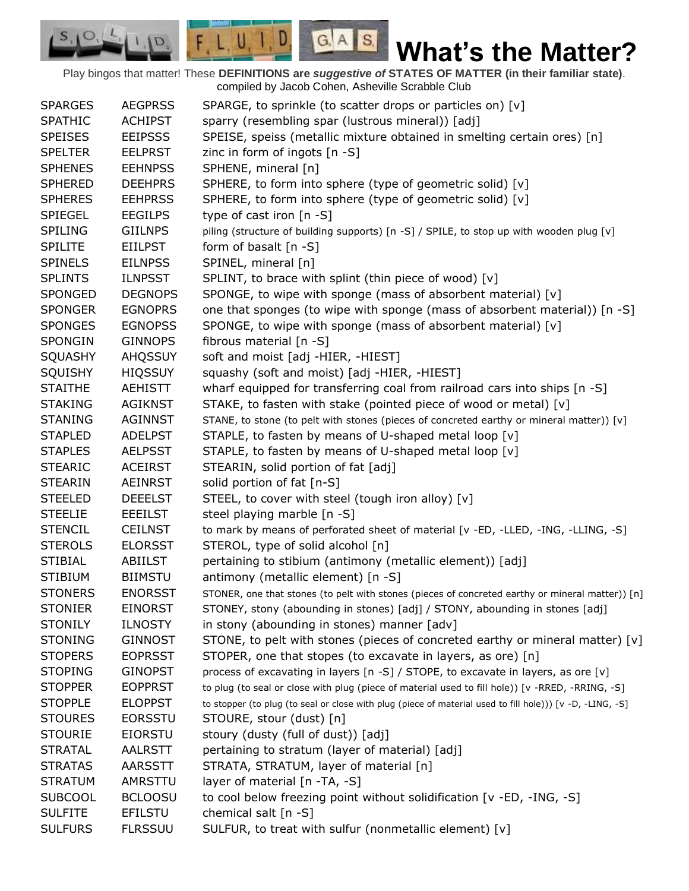Play bingos that matter! These **DEFINITIONS are** *suggestive of* **STATES OF MATTER (in their familiar state)**. compiled by Jacob Cohen, Asheville Scrabble Club

 $G.A.S.$ 

 $F, L, U, I, D$ 

D.

| <b>SPARGES</b> | <b>AEGPRSS</b> | SPARGE, to sprinkle (to scatter drops or particles on) [v]                                                |
|----------------|----------------|-----------------------------------------------------------------------------------------------------------|
| <b>SPATHIC</b> | <b>ACHIPST</b> | sparry (resembling spar (lustrous mineral)) [adj]                                                         |
| <b>SPEISES</b> | <b>EEIPSSS</b> | SPEISE, speiss (metallic mixture obtained in smelting certain ores) [n]                                   |
| <b>SPELTER</b> | <b>EELPRST</b> | zinc in form of ingots [n -S]                                                                             |
| <b>SPHENES</b> | <b>EEHNPSS</b> | SPHENE, mineral [n]                                                                                       |
| <b>SPHERED</b> | <b>DEEHPRS</b> | SPHERE, to form into sphere (type of geometric solid) [v]                                                 |
| <b>SPHERES</b> | <b>EEHPRSS</b> | SPHERE, to form into sphere (type of geometric solid) [v]                                                 |
| <b>SPIEGEL</b> | <b>EEGILPS</b> | type of cast iron [n -S]                                                                                  |
| <b>SPILING</b> | <b>GIILNPS</b> | piling (structure of building supports) [n -S] / SPILE, to stop up with wooden plug [v]                   |
| <b>SPILITE</b> | <b>EIILPST</b> | form of basalt $[n -S]$                                                                                   |
| <b>SPINELS</b> | <b>EILNPSS</b> | SPINEL, mineral [n]                                                                                       |
| <b>SPLINTS</b> | <b>ILNPSST</b> | SPLINT, to brace with splint (thin piece of wood) [v]                                                     |
| SPONGED        | <b>DEGNOPS</b> | SPONGE, to wipe with sponge (mass of absorbent material) [v]                                              |
| <b>SPONGER</b> | <b>EGNOPRS</b> | one that sponges (to wipe with sponge (mass of absorbent material)) [n -S]                                |
| <b>SPONGES</b> | <b>EGNOPSS</b> | SPONGE, to wipe with sponge (mass of absorbent material) [v]                                              |
| <b>SPONGIN</b> | <b>GINNOPS</b> | fibrous material [n -S]                                                                                   |
| SQUASHY        | <b>AHQSSUY</b> | soft and moist [adj -HIER, -HIEST]                                                                        |
| SQUISHY        | <b>HIQSSUY</b> | squashy (soft and moist) [adj -HIER, -HIEST]                                                              |
| <b>STAITHE</b> | AEHISTT        | wharf equipped for transferring coal from railroad cars into ships [n -S]                                 |
| <b>STAKING</b> | <b>AGIKNST</b> | STAKE, to fasten with stake (pointed piece of wood or metal) [v]                                          |
| <b>STANING</b> | <b>AGINNST</b> | STANE, to stone (to pelt with stones (pieces of concreted earthy or mineral matter)) [v]                  |
| <b>STAPLED</b> | <b>ADELPST</b> | STAPLE, to fasten by means of U-shaped metal loop [v]                                                     |
| <b>STAPLES</b> | <b>AELPSST</b> | STAPLE, to fasten by means of U-shaped metal loop [v]                                                     |
| <b>STEARIC</b> | <b>ACEIRST</b> | STEARIN, solid portion of fat [adj]                                                                       |
| <b>STEARIN</b> | <b>AEINRST</b> | solid portion of fat [n-S]                                                                                |
| <b>STEELED</b> | <b>DEEELST</b> | STEEL, to cover with steel (tough iron alloy) [v]                                                         |
| <b>STEELIE</b> | <b>EEEILST</b> | steel playing marble [n -S]                                                                               |
| <b>STENCIL</b> | <b>CEILNST</b> | to mark by means of perforated sheet of material [v -ED, -LLED, -ING, -LLING, -S]                         |
| <b>STEROLS</b> | <b>ELORSST</b> | STEROL, type of solid alcohol [n]                                                                         |
| <b>STIBIAL</b> | ABIILST        | pertaining to stibium (antimony (metallic element)) [adj]                                                 |
| <b>STIBIUM</b> | <b>BIIMSTU</b> | antimony (metallic element) [n -S]                                                                        |
| <b>STONERS</b> | <b>ENORSST</b> | STONER, one that stones (to pelt with stones (pieces of concreted earthy or mineral matter)) [n]          |
| <b>STONIER</b> | <b>EINORST</b> | STONEY, stony (abounding in stones) [adj] / STONY, abounding in stones [adj]                              |
| <b>STONILY</b> | <b>ILNOSTY</b> | in stony (abounding in stones) manner [adv]                                                               |
| <b>STONING</b> | <b>GINNOST</b> | STONE, to pelt with stones (pieces of concreted earthy or mineral matter) [v]                             |
| <b>STOPERS</b> | <b>EOPRSST</b> | STOPER, one that stopes (to excavate in layers, as ore) [n]                                               |
| <b>STOPING</b> | <b>GINOPST</b> | process of excavating in layers [n -S] / STOPE, to excavate in layers, as ore [v]                         |
| <b>STOPPER</b> | <b>EOPPRST</b> | to plug (to seal or close with plug (piece of material used to fill hole)) [v -RRED, -RRING, -S]          |
| <b>STOPPLE</b> | <b>ELOPPST</b> | to stopper (to plug (to seal or close with plug (piece of material used to fill hole))) [v -D, -LING, -S] |
| <b>STOURES</b> | <b>EORSSTU</b> | STOURE, stour (dust) [n]                                                                                  |
| <b>STOURIE</b> | <b>EIORSTU</b> | stoury (dusty (full of dust)) [adj]                                                                       |
| <b>STRATAL</b> | <b>AALRSTT</b> | pertaining to stratum (layer of material) [adj]                                                           |
| <b>STRATAS</b> | AARSSTT        | STRATA, STRATUM, layer of material [n]                                                                    |
| <b>STRATUM</b> | AMRSTTU        | layer of material [n -TA, -S]                                                                             |
| <b>SUBCOOL</b> | <b>BCLOOSU</b> | to cool below freezing point without solidification [v -ED, -ING, -S]                                     |
| <b>SULFITE</b> | <b>EFILSTU</b> | chemical salt [n -S]                                                                                      |
| <b>SULFURS</b> | <b>FLRSSUU</b> | SULFUR, to treat with sulfur (nonmetallic element) [v]                                                    |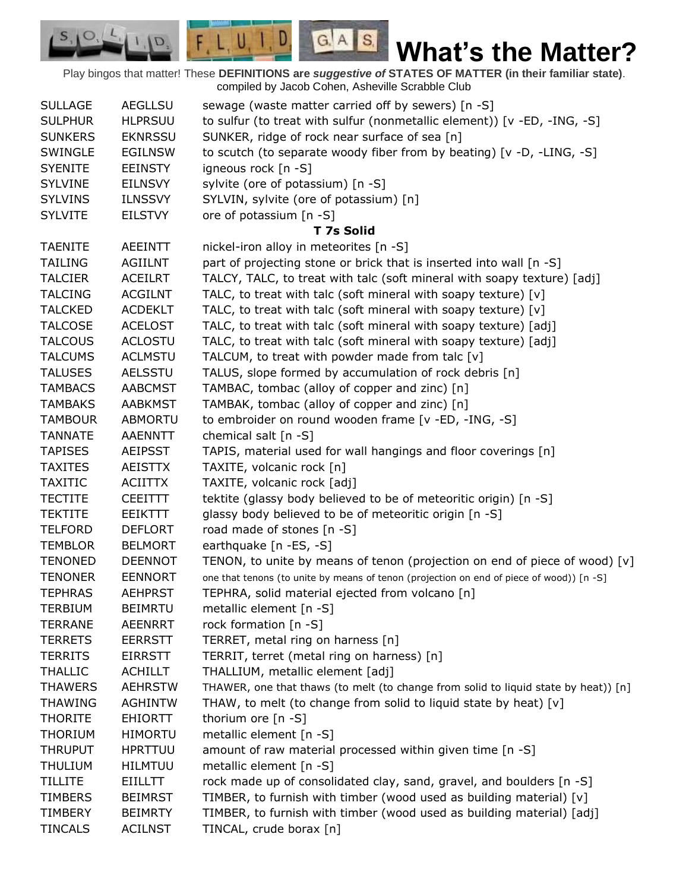Play bingos that matter! These **DEFINITIONS are** *suggestive of* **STATES OF MATTER (in their familiar state)**. compiled by Jacob Cohen, Asheville Scrabble Club

 $G.A.S.$ 

 $F, L, U, I, D$ 

D.

| <b>SULLAGE</b> | <b>AEGLLSU</b> | sewage (waste matter carried off by sewers) [n -S]                                       |
|----------------|----------------|------------------------------------------------------------------------------------------|
| <b>SULPHUR</b> | <b>HLPRSUU</b> | to sulfur (to treat with sulfur (nonmetallic element)) [v -ED, -ING, -S]                 |
| <b>SUNKERS</b> | <b>EKNRSSU</b> | SUNKER, ridge of rock near surface of sea [n]                                            |
| SWINGLE        | <b>EGILNSW</b> | to scutch (to separate woody fiber from by beating) [v -D, -LING, -S]                    |
| <b>SYENITE</b> | <b>EEINSTY</b> | igneous rock [n -S]                                                                      |
| <b>SYLVINE</b> | <b>EILNSVY</b> | sylvite (ore of potassium) [n -S]                                                        |
| <b>SYLVINS</b> | <b>ILNSSVY</b> | SYLVIN, sylvite (ore of potassium) [n]                                                   |
| <b>SYLVITE</b> | <b>EILSTVY</b> | ore of potassium [n -S]                                                                  |
|                |                | <b>T 7s Solid</b>                                                                        |
| <b>TAENITE</b> | <b>AEEINTT</b> | nickel-iron alloy in meteorites [n -S]                                                   |
| <b>TAILING</b> | <b>AGIILNT</b> | part of projecting stone or brick that is inserted into wall [n -S]                      |
| <b>TALCIER</b> | <b>ACEILRT</b> | TALCY, TALC, to treat with talc (soft mineral with soapy texture) [adj]                  |
| <b>TALCING</b> | <b>ACGILNT</b> | TALC, to treat with talc (soft mineral with soapy texture) [v]                           |
| <b>TALCKED</b> | <b>ACDEKLT</b> | TALC, to treat with talc (soft mineral with soapy texture) [v]                           |
| <b>TALCOSE</b> | <b>ACELOST</b> | TALC, to treat with talc (soft mineral with soapy texture) [adj]                         |
| <b>TALCOUS</b> | <b>ACLOSTU</b> | TALC, to treat with talc (soft mineral with soapy texture) [adj]                         |
| <b>TALCUMS</b> | <b>ACLMSTU</b> | TALCUM, to treat with powder made from talc [v]                                          |
| <b>TALUSES</b> | <b>AELSSTU</b> | TALUS, slope formed by accumulation of rock debris [n]                                   |
| <b>TAMBACS</b> | <b>AABCMST</b> | TAMBAC, tombac (alloy of copper and zinc) [n]                                            |
| <b>TAMBAKS</b> | <b>AABKMST</b> | TAMBAK, tombac (alloy of copper and zinc) [n]                                            |
| <b>TAMBOUR</b> | <b>ABMORTU</b> | to embroider on round wooden frame [v -ED, -ING, -S]                                     |
| <b>TANNATE</b> | AAENNTT        | chemical salt [n -S]                                                                     |
| <b>TAPISES</b> | <b>AEIPSST</b> | TAPIS, material used for wall hangings and floor coverings [n]                           |
| <b>TAXITES</b> | <b>AEISTTX</b> | TAXITE, volcanic rock [n]                                                                |
| <b>TAXITIC</b> | <b>ACIITTX</b> | TAXITE, volcanic rock [adj]                                                              |
| <b>TECTITE</b> | <b>CEEITTT</b> | tektite (glassy body believed to be of meteoritic origin) [n -S]                         |
| <b>TEKTITE</b> | <b>EEIKTTT</b> | glassy body believed to be of meteoritic origin [n -S]                                   |
| <b>TELFORD</b> | <b>DEFLORT</b> | road made of stones [n -S]                                                               |
| <b>TEMBLOR</b> | <b>BELMORT</b> | earthquake [n -ES, -S]                                                                   |
| <b>TENONED</b> | <b>DEENNOT</b> | TENON, to unite by means of tenon (projection on end of piece of wood) $[v]$             |
| <b>TENONER</b> | <b>EENNORT</b> | one that tenons (to unite by means of tenon (projection on end of piece of wood)) [n -S] |
| <b>TEPHRAS</b> | <b>AEHPRST</b> | TEPHRA, solid material ejected from volcano [n]                                          |
| <b>TERBIUM</b> | <b>BEIMRTU</b> | metallic element [n -S]                                                                  |
| <b>TERRANE</b> | <b>AEENRRT</b> | rock formation [n -S]                                                                    |
| <b>TERRETS</b> | <b>EERRSTT</b> | TERRET, metal ring on harness [n]                                                        |
| <b>TERRITS</b> | <b>EIRRSTT</b> | TERRIT, terret (metal ring on harness) [n]                                               |
| <b>THALLIC</b> | <b>ACHILLT</b> | THALLIUM, metallic element [adj]                                                         |
| <b>THAWERS</b> | <b>AEHRSTW</b> | THAWER, one that thaws (to melt (to change from solid to liquid state by heat)) [n]      |
| <b>THAWING</b> | <b>AGHINTW</b> | THAW, to melt (to change from solid to liquid state by heat) [v]                         |
| <b>THORITE</b> | <b>EHIORTT</b> | thorium ore [n -S]                                                                       |
| <b>THORIUM</b> | <b>HIMORTU</b> | metallic element [n -S]                                                                  |
| <b>THRUPUT</b> | <b>HPRTTUU</b> | amount of raw material processed within given time [n -S]                                |
| <b>THULIUM</b> | <b>HILMTUU</b> | metallic element [n -S]                                                                  |
| <b>TILLITE</b> | <b>EIILLTT</b> | rock made up of consolidated clay, sand, gravel, and boulders [n -S]                     |
| <b>TIMBERS</b> | <b>BEIMRST</b> | TIMBER, to furnish with timber (wood used as building material) [v]                      |
| <b>TIMBERY</b> | <b>BEIMRTY</b> | TIMBER, to furnish with timber (wood used as building material) [adj]                    |
| <b>TINCALS</b> | <b>ACILNST</b> | TINCAL, crude borax [n]                                                                  |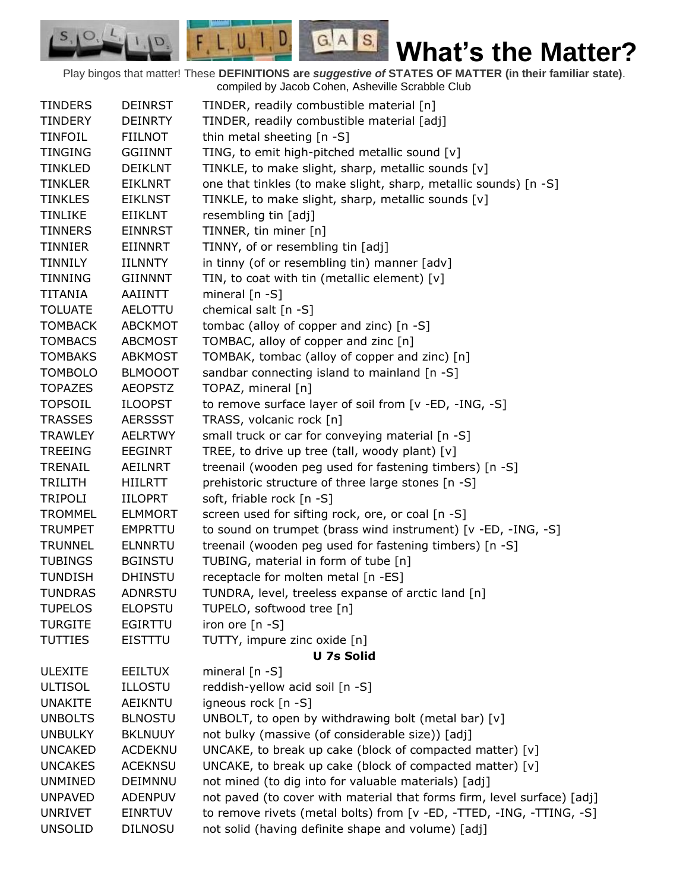Play bingos that matter! These **DEFINITIONS are** *suggestive of* **STATES OF MATTER (in their familiar state)**. compiled by Jacob Cohen, Asheville Scrabble Club

 $G.A.S.$ 

 $F, L, U, I, D$ 

 $\mathcal{O},$  $S_{11}$ 

D.

| <b>TINDERS</b> | <b>DEINRST</b> | TINDER, readily combustible material [n]                                |
|----------------|----------------|-------------------------------------------------------------------------|
| <b>TINDERY</b> | <b>DEINRTY</b> | TINDER, readily combustible material [adj]                              |
| <b>TINFOIL</b> | <b>FIILNOT</b> | thin metal sheeting [n -S]                                              |
| <b>TINGING</b> | <b>GGIINNT</b> | TING, to emit high-pitched metallic sound [v]                           |
| <b>TINKLED</b> | <b>DEIKLNT</b> | TINKLE, to make slight, sharp, metallic sounds [v]                      |
| <b>TINKLER</b> | <b>EIKLNRT</b> | one that tinkles (to make slight, sharp, metallic sounds) [n -S]        |
| <b>TINKLES</b> | <b>EIKLNST</b> | TINKLE, to make slight, sharp, metallic sounds [v]                      |
| <b>TINLIKE</b> | <b>EIIKLNT</b> | resembling tin [adj]                                                    |
| <b>TINNERS</b> | <b>EINNRST</b> | TINNER, tin miner [n]                                                   |
| TINNIER        | EIINNRT        | TINNY, of or resembling tin [adj]                                       |
| TINNILY        | <b>IILNNTY</b> | in tinny (of or resembling tin) manner [adv]                            |
| <b>TINNING</b> | <b>GIINNNT</b> | TIN, to coat with tin (metallic element) [v]                            |
| TITANIA        | AAIINTT        | mineral [n -S]                                                          |
| <b>TOLUATE</b> | AELOTTU        | chemical salt [n -S]                                                    |
| <b>TOMBACK</b> | <b>ABCKMOT</b> | tombac (alloy of copper and zinc) [n -S]                                |
| <b>TOMBACS</b> | <b>ABCMOST</b> | TOMBAC, alloy of copper and zinc [n]                                    |
| <b>TOMBAKS</b> | <b>ABKMOST</b> | TOMBAK, tombac (alloy of copper and zinc) [n]                           |
| <b>TOMBOLO</b> | <b>BLMOOOT</b> | sandbar connecting island to mainland [n -S]                            |
| <b>TOPAZES</b> | <b>AEOPSTZ</b> | TOPAZ, mineral [n]                                                      |
| <b>TOPSOIL</b> | <b>ILOOPST</b> | to remove surface layer of soil from [v -ED, -ING, -S]                  |
| <b>TRASSES</b> | <b>AERSSST</b> | TRASS, volcanic rock [n]                                                |
| <b>TRAWLEY</b> | <b>AELRTWY</b> | small truck or car for conveying material [n -S]                        |
| <b>TREEING</b> | <b>EEGINRT</b> | TREE, to drive up tree (tall, woody plant) $[v]$                        |
| TRENAIL        | AEILNRT        | treenail (wooden peg used for fastening timbers) [n -S]                 |
| TRILITH        | HIILRTT        | prehistoric structure of three large stones [n -S]                      |
| <b>TRIPOLI</b> | <b>IILOPRT</b> | soft, friable rock [n -S]                                               |
| <b>TROMMEL</b> | <b>ELMMORT</b> | screen used for sifting rock, ore, or coal [n -S]                       |
| <b>TRUMPET</b> | <b>EMPRTTU</b> | to sound on trumpet (brass wind instrument) [v -ED, -ING, -S]           |
| <b>TRUNNEL</b> | <b>ELNNRTU</b> | treenail (wooden peg used for fastening timbers) [n -S]                 |
| <b>TUBINGS</b> | <b>BGINSTU</b> | TUBING, material in form of tube [n]                                    |
| <b>TUNDISH</b> | <b>DHINSTU</b> | receptacle for molten metal [n -ES]                                     |
| <b>TUNDRAS</b> | ADNRSTU        | TUNDRA, level, treeless expanse of arctic land [n]                      |
| <b>TUPELOS</b> | <b>ELOPSTU</b> | TUPELO, softwood tree [n]                                               |
| <b>TURGITE</b> | <b>EGIRTTU</b> | iron ore $[n - S]$                                                      |
| <b>TUTTIES</b> | <b>EISTTTU</b> | TUTTY, impure zinc oxide [n]                                            |
|                |                | <b>U 7s Solid</b>                                                       |
| <b>ULEXITE</b> | <b>EEILTUX</b> | mineral $[n - S]$                                                       |
| <b>ULTISOL</b> | <b>ILLOSTU</b> | reddish-yellow acid soil [n -S]                                         |
| <b>UNAKITE</b> | <b>AEIKNTU</b> | igneous rock [n -S]                                                     |
| <b>UNBOLTS</b> | <b>BLNOSTU</b> | UNBOLT, to open by withdrawing bolt (metal bar) [v]                     |
| <b>UNBULKY</b> | <b>BKLNUUY</b> | not bulky (massive (of considerable size)) [adj]                        |
| <b>UNCAKED</b> | <b>ACDEKNU</b> | UNCAKE, to break up cake (block of compacted matter) [v]                |
| <b>UNCAKES</b> | <b>ACEKNSU</b> | UNCAKE, to break up cake (block of compacted matter) [v]                |
| <b>UNMINED</b> | DEIMNNU        | not mined (to dig into for valuable materials) [adj]                    |
| <b>UNPAVED</b> | <b>ADENPUV</b> | not paved (to cover with material that forms firm, level surface) [adj] |
| <b>UNRIVET</b> | <b>EINRTUV</b> | to remove rivets (metal bolts) from [v -ED, -TTED, -ING, -TTING, -S]    |
| <b>UNSOLID</b> | <b>DILNOSU</b> | not solid (having definite shape and volume) [adj]                      |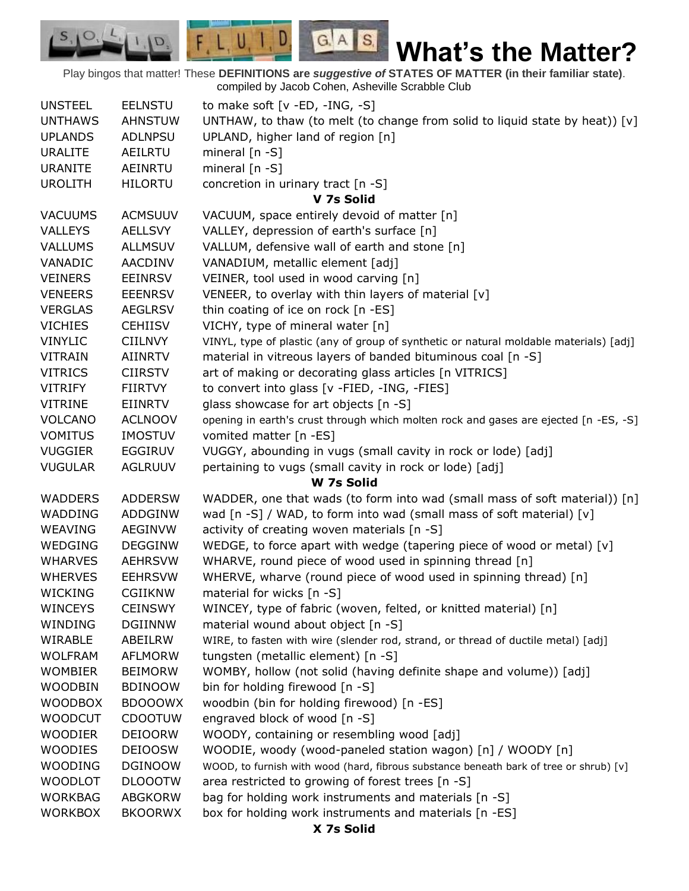Play bingos that matter! These **DEFINITIONS are** *suggestive of* **STATES OF MATTER (in their familiar state)**. compiled by Jacob Cohen, Asheville Scrabble Club

 $G.A.S.$ 

 $\Box$ 

 $F, L, U, I$ 

D.

 $S_{1}$  $\circ$ 

| <b>UNSTEEL</b> | <b>EELNSTU</b> | to make soft $[v - ED, -ING, -S]$                                                      |
|----------------|----------------|----------------------------------------------------------------------------------------|
| <b>UNTHAWS</b> | <b>AHNSTUW</b> | UNTHAW, to thaw (to melt (to change from solid to liquid state by heat)) [v]           |
| <b>UPLANDS</b> | <b>ADLNPSU</b> | UPLAND, higher land of region [n]                                                      |
| <b>URALITE</b> | AEILRTU        | mineral $[n - S]$                                                                      |
| <b>URANITE</b> | <b>AEINRTU</b> | mineral $[n - S]$                                                                      |
| <b>UROLITH</b> | <b>HILORTU</b> | concretion in urinary tract [n -S]                                                     |
|                |                | V 7s Solid                                                                             |
| <b>VACUUMS</b> | <b>ACMSUUV</b> | VACUUM, space entirely devoid of matter [n]                                            |
| <b>VALLEYS</b> | <b>AELLSVY</b> | VALLEY, depression of earth's surface [n]                                              |
| <b>VALLUMS</b> | <b>ALLMSUV</b> | VALLUM, defensive wall of earth and stone [n]                                          |
| VANADIC        | AACDINV        | VANADIUM, metallic element [adj]                                                       |
| <b>VEINERS</b> | <b>EEINRSV</b> | VEINER, tool used in wood carving [n]                                                  |
| <b>VENEERS</b> | <b>EEENRSV</b> | VENEER, to overlay with thin layers of material [v]                                    |
| <b>VERGLAS</b> | <b>AEGLRSV</b> | thin coating of ice on rock [n -ES]                                                    |
| <b>VICHIES</b> | <b>CEHIISV</b> | VICHY, type of mineral water [n]                                                       |
| <b>VINYLIC</b> | <b>CIILNVY</b> | VINYL, type of plastic (any of group of synthetic or natural moldable materials) [adj] |
| <b>VITRAIN</b> | <b>AIINRTV</b> | material in vitreous layers of banded bituminous coal [n -S]                           |
| <b>VITRICS</b> | <b>CIIRSTV</b> | art of making or decorating glass articles [n VITRICS]                                 |
| <b>VITRIFY</b> | FIIRTVY        | to convert into glass [v -FIED, -ING, -FIES]                                           |
| <b>VITRINE</b> | EIINRTV        | glass showcase for art objects [n -S]                                                  |
| <b>VOLCANO</b> | <b>ACLNOOV</b> | opening in earth's crust through which molten rock and gases are ejected [n -ES, -S]   |
| <b>VOMITUS</b> | <b>IMOSTUV</b> | vomited matter [n -ES]                                                                 |
| <b>VUGGIER</b> | <b>EGGIRUV</b> | VUGGY, abounding in vugs (small cavity in rock or lode) [adj]                          |
| <b>VUGULAR</b> | <b>AGLRUUV</b> | pertaining to vugs (small cavity in rock or lode) [adj]                                |
|                |                | W 7s Solid                                                                             |
| <b>WADDERS</b> | <b>ADDERSW</b> | WADDER, one that wads (to form into wad (small mass of soft material)) [n]             |
| WADDING        | <b>ADDGINW</b> | wad [n -S] / WAD, to form into wad (small mass of soft material) [v]                   |
| <b>WEAVING</b> | <b>AEGINVW</b> | activity of creating woven materials [n -S]                                            |
| WEDGING        | <b>DEGGINW</b> | WEDGE, to force apart with wedge (tapering piece of wood or metal) $[v]$               |
| <b>WHARVES</b> |                |                                                                                        |
| <b>WHERVES</b> | <b>AEHRSVW</b> | WHARVE, round piece of wood used in spinning thread [n]                                |
|                | <b>EEHRSVW</b> | WHERVE, wharve (round piece of wood used in spinning thread) [n]                       |
| <b>WICKING</b> | <b>CGIIKNW</b> | material for wicks [n -S]                                                              |
| <b>WINCEYS</b> | <b>CEINSWY</b> | WINCEY, type of fabric (woven, felted, or knitted material) [n]                        |
| WINDING        | <b>DGIINNW</b> | material wound about object [n -S]                                                     |
| WIRABLE        | ABEILRW        | WIRE, to fasten with wire (slender rod, strand, or thread of ductile metal) [adj]      |
| <b>WOLFRAM</b> | <b>AFLMORW</b> | tungsten (metallic element) [n -S]                                                     |
| <b>WOMBIER</b> | <b>BEIMORW</b> | WOMBY, hollow (not solid (having definite shape and volume)) [adj]                     |
| <b>WOODBIN</b> | <b>BDINOOW</b> | bin for holding firewood [n -S]                                                        |
| <b>WOODBOX</b> | <b>BDOOOWX</b> | woodbin (bin for holding firewood) [n -ES]                                             |
| <b>WOODCUT</b> | <b>CDOOTUW</b> | engraved block of wood [n -S]                                                          |
| <b>WOODIER</b> | <b>DEIOORW</b> | WOODY, containing or resembling wood [adj]                                             |
| <b>WOODIES</b> | <b>DEIOOSW</b> | WOODIE, woody (wood-paneled station wagon) [n] / WOODY [n]                             |
| <b>WOODING</b> | <b>DGINOOW</b> | WOOD, to furnish with wood (hard, fibrous substance beneath bark of tree or shrub) [v] |
| <b>WOODLOT</b> | <b>DLOOOTW</b> | area restricted to growing of forest trees [n -S]                                      |
| <b>WORKBAG</b> | <b>ABGKORW</b> | bag for holding work instruments and materials [n -S]                                  |
|                |                |                                                                                        |
|                |                |                                                                                        |
| <b>WORKBOX</b> | <b>BKOORWX</b> | box for holding work instruments and materials [n -ES]                                 |

**X 7s Solid**